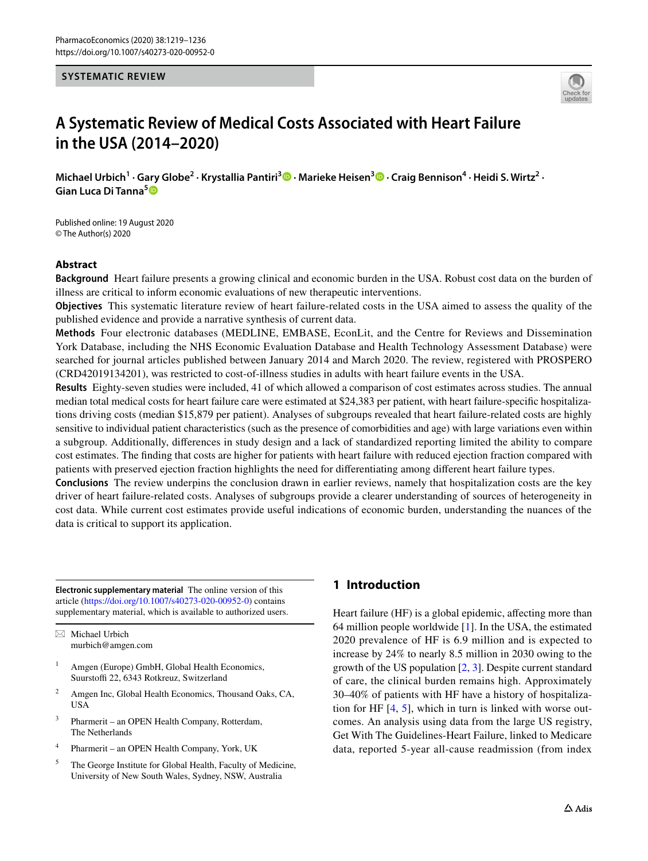#### **SYSTEMATIC REVIEW**



# **A Systematic Review of Medical Costs Associated with Heart Failure in the USA (2014–2020)**

Michael Urbich<sup>1</sup> [·](http://orcid.org/0000-0001-6241-0249)Gary Globe<sup>2</sup> · Krystallia Pantiri<sup>3</sup> • Marieke Heisen<sup>3</sup> • Craig Bennison<sup>4</sup> · Heidi S. Wirtz<sup>2</sup> · **Gian Luca Di Tanna[5](http://orcid.org/0000-0002-5470-3567)**

Published online: 19 August 2020 © The Author(s) 2020

# **Abstract**

**Background** Heart failure presents a growing clinical and economic burden in the USA. Robust cost data on the burden of illness are critical to inform economic evaluations of new therapeutic interventions.

**Objectives** This systematic literature review of heart failure-related costs in the USA aimed to assess the quality of the published evidence and provide a narrative synthesis of current data.

**Methods** Four electronic databases (MEDLINE, EMBASE, EconLit, and the Centre for Reviews and Dissemination York Database, including the NHS Economic Evaluation Database and Health Technology Assessment Database) were searched for journal articles published between January 2014 and March 2020. The review, registered with PROSPERO (CRD42019134201), was restricted to cost-of-illness studies in adults with heart failure events in the USA.

**Results** Eighty-seven studies were included, 41 of which allowed a comparison of cost estimates across studies. The annual median total medical costs for heart failure care were estimated at \$24,383 per patient, with heart failure-specifc hospitalizations driving costs (median \$15,879 per patient). Analyses of subgroups revealed that heart failure-related costs are highly sensitive to individual patient characteristics (such as the presence of comorbidities and age) with large variations even within a subgroup. Additionally, diferences in study design and a lack of standardized reporting limited the ability to compare cost estimates. The fnding that costs are higher for patients with heart failure with reduced ejection fraction compared with patients with preserved ejection fraction highlights the need for diferentiating among diferent heart failure types.

**Conclusions** The review underpins the conclusion drawn in earlier reviews, namely that hospitalization costs are the key driver of heart failure-related costs. Analyses of subgroups provide a clearer understanding of sources of heterogeneity in cost data. While current cost estimates provide useful indications of economic burden, understanding the nuances of the data is critical to support its application.

**Electronic supplementary material** The online version of this article [\(https://doi.org/10.1007/s40273-020-00952-0\)](https://doi.org/10.1007/s40273-020-00952-0) contains supplementary material, which is available to authorized users.

 $\boxtimes$  Michael Urbich murbich@amgen.com

- Amgen (Europe) GmbH, Global Health Economics, Suurstoffi 22, 6343 Rotkreuz, Switzerland
- <sup>2</sup> Amgen Inc, Global Health Economics, Thousand Oaks, CA, USA
- <sup>3</sup> Pharmerit an OPEN Health Company, Rotterdam, The Netherlands
- <sup>4</sup> Pharmerit an OPEN Health Company, York, UK
- <sup>5</sup> The George Institute for Global Health, Faculty of Medicine, University of New South Wales, Sydney, NSW, Australia

# **1 Introduction**

Heart failure (HF) is a global epidemic, affecting more than 64 million people worldwide [[1\]](#page-13-0). In the USA, the estimated 2020 prevalence of HF is 6.9 million and is expected to increase by 24% to nearly 8.5 million in 2030 owing to the growth of the US population [[2,](#page-13-1) [3](#page-13-2)]. Despite current standard of care, the clinical burden remains high. Approximately 30–40% of patients with HF have a history of hospitalization for HF [[4,](#page-13-3) [5](#page-13-4)], which in turn is linked with worse outcomes. An analysis using data from the large US registry, Get With The Guidelines-Heart Failure, linked to Medicare data, reported 5-year all-cause readmission (from index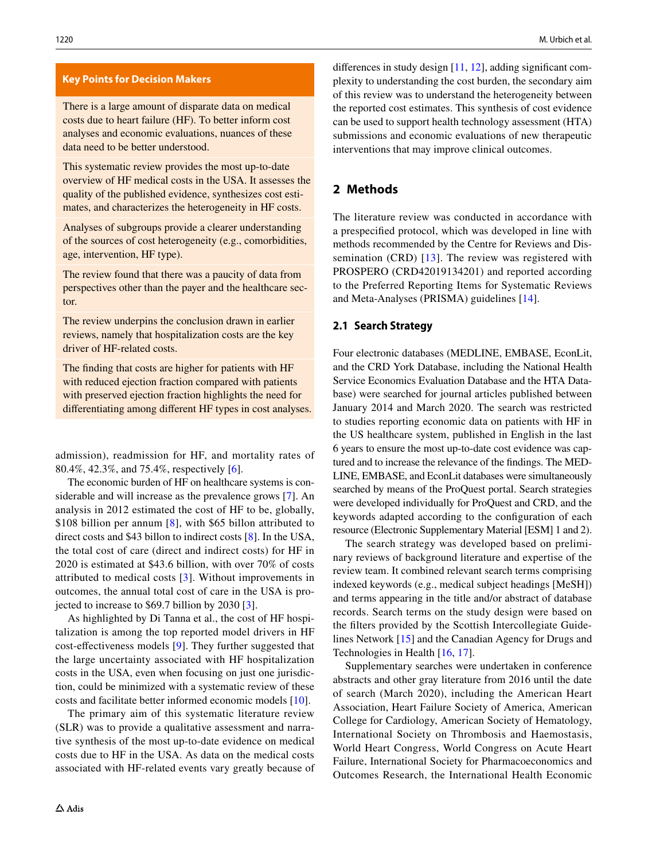#### **Key Points for Decision Makers**

There is a large amount of disparate data on medical costs due to heart failure (HF). To better inform cost analyses and economic evaluations, nuances of these data need to be better understood.

This systematic review provides the most up-to-date overview of HF medical costs in the USA. It assesses the quality of the published evidence, synthesizes cost estimates, and characterizes the heterogeneity in HF costs.

Analyses of subgroups provide a clearer understanding of the sources of cost heterogeneity (e.g., comorbidities, age, intervention, HF type).

The review found that there was a paucity of data from perspectives other than the payer and the healthcare sector.

The review underpins the conclusion drawn in earlier reviews, namely that hospitalization costs are the key driver of HF-related costs.

The fnding that costs are higher for patients with HF with reduced ejection fraction compared with patients with preserved ejection fraction highlights the need for diferentiating among diferent HF types in cost analyses.

admission), readmission for HF, and mortality rates of 80.4%, 42.3%, and 75.4%, respectively [[6\]](#page-13-12).

The economic burden of HF on healthcare systems is considerable and will increase as the prevalence grows [\[7](#page-13-13)]. An analysis in 2012 estimated the cost of HF to be, globally, \$10[8](#page-13-14) billion per annum [8], with \$65 billon attributed to direct costs and \$43 billon to indirect costs [\[8](#page-13-14)]. In the USA, the total cost of care (direct and indirect costs) for HF in 2020 is estimated at \$43.6 billion, with over 70% of costs attributed to medical costs [\[3](#page-13-2)]. Without improvements in outcomes, the annual total cost of care in the USA is projected to increase to \$69.7 billion by 2030 [\[3](#page-13-2)].

As highlighted by Di Tanna et al., the cost of HF hospitalization is among the top reported model drivers in HF cost-efectiveness models [[9](#page-13-15)]. They further suggested that the large uncertainty associated with HF hospitalization costs in the USA, even when focusing on just one jurisdiction, could be minimized with a systematic review of these costs and facilitate better informed economic models [[10\]](#page-13-16).

The primary aim of this systematic literature review (SLR) was to provide a qualitative assessment and narrative synthesis of the most up-to-date evidence on medical costs due to HF in the USA. As data on the medical costs associated with HF-related events vary greatly because of diferences in study design [[11,](#page-13-5) [12](#page-13-6)], adding signifcant complexity to understanding the cost burden, the secondary aim of this review was to understand the heterogeneity between the reported cost estimates. This synthesis of cost evidence can be used to support health technology assessment (HTA) submissions and economic evaluations of new therapeutic interventions that may improve clinical outcomes.

# **2 Methods**

The literature review was conducted in accordance with a prespecifed protocol, which was developed in line with methods recommended by the Centre for Reviews and Dis-semination (CRD) [[13](#page-13-7)]. The review was registered with PROSPERO (CRD42019134201) and reported according to the Preferred Reporting Items for Systematic Reviews and Meta-Analyses (PRISMA) guidelines [\[14](#page-13-8)].

#### **2.1 Search Strategy**

Four electronic databases (MEDLINE, EMBASE, EconLit, and the CRD York Database, including the National Health Service Economics Evaluation Database and the HTA Database) were searched for journal articles published between January 2014 and March 2020. The search was restricted to studies reporting economic data on patients with HF in the US healthcare system, published in English in the last 6 years to ensure the most up-to-date cost evidence was captured and to increase the relevance of the fndings. The MED-LINE, EMBASE, and EconLit databases were simultaneously searched by means of the ProQuest portal. Search strategies were developed individually for ProQuest and CRD, and the keywords adapted according to the confguration of each resource (Electronic Supplementary Material [ESM] 1 and 2).

The search strategy was developed based on preliminary reviews of background literature and expertise of the review team. It combined relevant search terms comprising indexed keywords (e.g., medical subject headings [MeSH]) and terms appearing in the title and/or abstract of database records. Search terms on the study design were based on the flters provided by the Scottish Intercollegiate Guidelines Network [[15\]](#page-13-9) and the Canadian Agency for Drugs and Technologies in Health [[16,](#page-13-10) [17\]](#page-13-11).

Supplementary searches were undertaken in conference abstracts and other gray literature from 2016 until the date of search (March 2020), including the American Heart Association, Heart Failure Society of America, American College for Cardiology, American Society of Hematology, International Society on Thrombosis and Haemostasis, World Heart Congress, World Congress on Acute Heart Failure, International Society for Pharmacoeconomics and Outcomes Research, the International Health Economic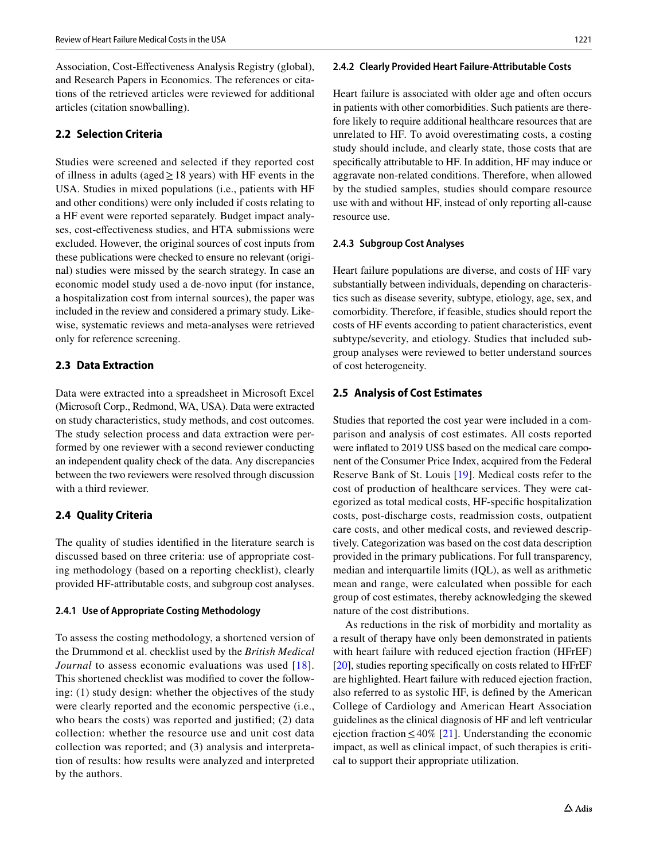Association, Cost-Efectiveness Analysis Registry (global), and Research Papers in Economics. The references or citations of the retrieved articles were reviewed for additional articles (citation snowballing).

# **2.2 Selection Criteria**

Studies were screened and selected if they reported cost of illness in adults (aged  $\geq$  18 years) with HF events in the USA. Studies in mixed populations (i.e., patients with HF and other conditions) were only included if costs relating to a HF event were reported separately. Budget impact analyses, cost-efectiveness studies, and HTA submissions were excluded. However, the original sources of cost inputs from these publications were checked to ensure no relevant (original) studies were missed by the search strategy. In case an economic model study used a de-novo input (for instance, a hospitalization cost from internal sources), the paper was included in the review and considered a primary study. Likewise, systematic reviews and meta-analyses were retrieved only for reference screening.

### **2.3 Data Extraction**

Data were extracted into a spreadsheet in Microsoft Excel (Microsoft Corp., Redmond, WA, USA). Data were extracted on study characteristics, study methods, and cost outcomes. The study selection process and data extraction were performed by one reviewer with a second reviewer conducting an independent quality check of the data. Any discrepancies between the two reviewers were resolved through discussion with a third reviewer.

### **2.4 Quality Criteria**

The quality of studies identifed in the literature search is discussed based on three criteria: use of appropriate costing methodology (based on a reporting checklist), clearly provided HF-attributable costs, and subgroup cost analyses.

#### **2.4.1 Use of Appropriate Costing Methodology**

To assess the costing methodology, a shortened version of the Drummond et al. checklist used by the *British Medical Journal* to assess economic evaluations was used [[18\]](#page-13-17). This shortened checklist was modifed to cover the following: (1) study design: whether the objectives of the study were clearly reported and the economic perspective (i.e., who bears the costs) was reported and justified; (2) data collection: whether the resource use and unit cost data collection was reported; and (3) analysis and interpretation of results: how results were analyzed and interpreted by the authors.

#### **2.4.2 Clearly Provided Heart Failure‑Attributable Costs**

Heart failure is associated with older age and often occurs in patients with other comorbidities. Such patients are therefore likely to require additional healthcare resources that are unrelated to HF. To avoid overestimating costs, a costing study should include, and clearly state, those costs that are specifcally attributable to HF. In addition, HF may induce or aggravate non-related conditions. Therefore, when allowed by the studied samples, studies should compare resource use with and without HF, instead of only reporting all-cause resource use.

### **2.4.3 Subgroup Cost Analyses**

Heart failure populations are diverse, and costs of HF vary substantially between individuals, depending on characteristics such as disease severity, subtype, etiology, age, sex, and comorbidity. Therefore, if feasible, studies should report the costs of HF events according to patient characteristics, event subtype/severity, and etiology. Studies that included subgroup analyses were reviewed to better understand sources of cost heterogeneity.

### **2.5 Analysis of Cost Estimates**

Studies that reported the cost year were included in a comparison and analysis of cost estimates. All costs reported were infated to 2019 US\$ based on the medical care component of the Consumer Price Index, acquired from the Federal Reserve Bank of St. Louis [[19\]](#page-13-18). Medical costs refer to the cost of production of healthcare services. They were categorized as total medical costs, HF-specifc hospitalization costs, post-discharge costs, readmission costs, outpatient care costs, and other medical costs, and reviewed descriptively. Categorization was based on the cost data description provided in the primary publications. For full transparency, median and interquartile limits (IQL), as well as arithmetic mean and range, were calculated when possible for each group of cost estimates, thereby acknowledging the skewed nature of the cost distributions.

As reductions in the risk of morbidity and mortality as a result of therapy have only been demonstrated in patients with heart failure with reduced ejection fraction (HFrEF) [\[20](#page-13-19)], studies reporting specifcally on costs related to HFrEF are highlighted. Heart failure with reduced ejection fraction, also referred to as systolic HF, is defned by the American College of Cardiology and American Heart Association guidelines as the clinical diagnosis of HF and left ventricular ejection fraction  $\leq 40\%$  [\[21](#page-13-20)]. Understanding the economic impact, as well as clinical impact, of such therapies is critical to support their appropriate utilization.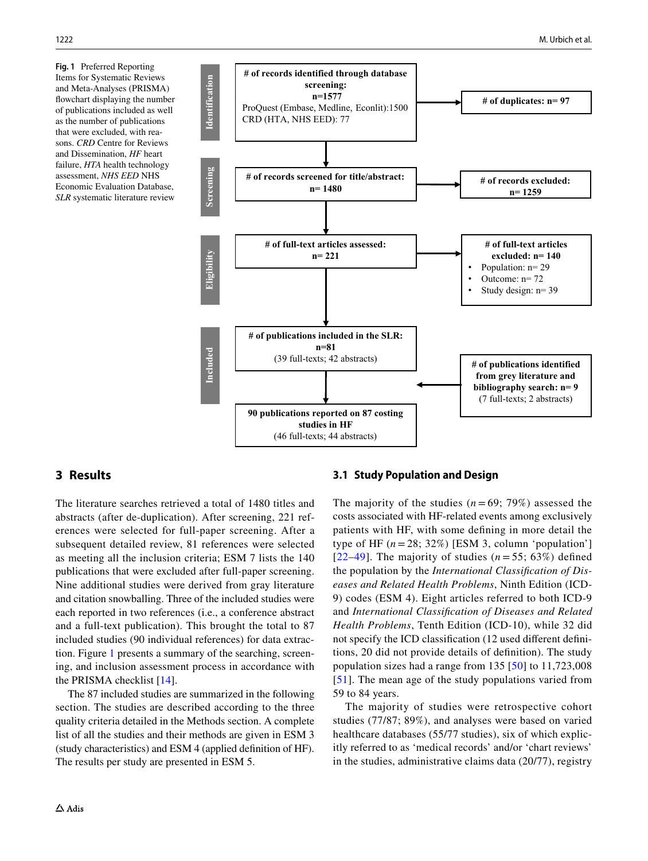<span id="page-3-0"></span>**Fig. 1** Preferred Reporting Items for Systematic Reviews and Meta-Analyses (PRISMA) fowchart displaying the number of publications included as well as the number of publications that were excluded, with reasons. *CRD* Centre for Reviews and Dissemination, *HF* heart failure, *HTA* health technology assessment, *NHS EED* NHS Economic Evaluation Database, *SLR* systematic literature review



# **3 Results**

The literature searches retrieved a total of 1480 titles and abstracts (after de-duplication). After screening, 221 references were selected for full-paper screening. After a subsequent detailed review, 81 references were selected as meeting all the inclusion criteria; ESM 7 lists the 140 publications that were excluded after full-paper screening. Nine additional studies were derived from gray literature and citation snowballing. Three of the included studies were each reported in two references (i.e., a conference abstract and a full-text publication). This brought the total to 87 included studies (90 individual references) for data extraction. Figure [1](#page-3-0) presents a summary of the searching, screening, and inclusion assessment process in accordance with the PRISMA checklist [\[14](#page-13-8)].

The 87 included studies are summarized in the following section. The studies are described according to the three quality criteria detailed in the Methods section. A complete list of all the studies and their methods are given in ESM 3 (study characteristics) and ESM 4 (applied defnition of HF). The results per study are presented in ESM 5.

#### **3.1 Study Population and Design**

The majority of the studies  $(n = 69, 79\%)$  assessed the costs associated with HF-related events among exclusively patients with HF, with some defning in more detail the type of HF  $(n=28; 32\%)$  [ESM 3, column 'population'] [[22](#page-13-21)–[49](#page-14-0)]. The majority of studies  $(n=55; 63%)$  defined the population by the *International Classifcation of Diseases and Related Health Problems*, Ninth Edition (ICD-9) codes (ESM 4). Eight articles referred to both ICD-9 and *International Classifcation of Diseases and Related Health Problems*, Tenth Edition (ICD-10), while 32 did not specify the ICD classifcation (12 used diferent defnitions, 20 did not provide details of defnition). The study population sizes had a range from 135 [[50\]](#page-14-1) to 11,723,008 [[51](#page-14-2)]. The mean age of the study populations varied from 59 to 84 years.

The majority of studies were retrospective cohort studies (77/87; 89%), and analyses were based on varied healthcare databases (55/77 studies), six of which explicitly referred to as 'medical records' and/or 'chart reviews' in the studies, administrative claims data (20/77), registry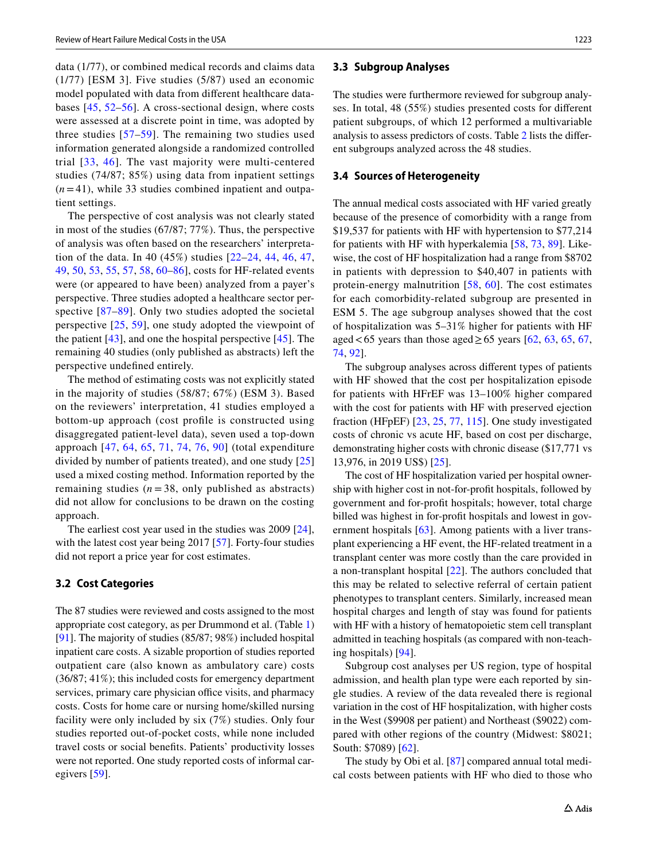data (1/77), or combined medical records and claims data (1/77) [ESM 3]. Five studies (5/87) used an economic model populated with data from diferent healthcare databases [[45,](#page-14-3) [52–](#page-14-4)[56](#page-15-0)]. A cross-sectional design, where costs were assessed at a discrete point in time, was adopted by three studies [\[57](#page-15-1)[–59](#page-15-2)]. The remaining two studies used information generated alongside a randomized controlled trial [[33](#page-14-5), [46\]](#page-14-6). The vast majority were multi-centered studies (74/87; 85%) using data from inpatient settings  $(n=41)$ , while 33 studies combined inpatient and outpatient settings.

The perspective of cost analysis was not clearly stated in most of the studies (67/87; 77%). Thus, the perspective of analysis was often based on the researchers' interpretation of the data. In 40 (45%) studies [[22](#page-13-21)[–24,](#page-14-7) [44](#page-14-8), [46](#page-14-6), [47,](#page-14-9) [49](#page-14-0), [50,](#page-14-1) [53](#page-15-3), [55,](#page-15-4) [57](#page-15-1), [58,](#page-15-5) [60–](#page-15-6)[86\]](#page-16-0), costs for HF-related events were (or appeared to have been) analyzed from a payer's perspective. Three studies adopted a healthcare sector per-spective [\[87](#page-16-1)[–89\]](#page-16-2). Only two studies adopted the societal perspective  $[25, 59]$  $[25, 59]$  $[25, 59]$  $[25, 59]$  $[25, 59]$ , one study adopted the viewpoint of the patient [[43\]](#page-14-11), and one the hospital perspective [[45\]](#page-14-3). The remaining 40 studies (only published as abstracts) left the perspective undefned entirely.

The method of estimating costs was not explicitly stated in the majority of studies (58/87; 67%) (ESM 3). Based on the reviewers' interpretation, 41 studies employed a bottom-up approach (cost profle is constructed using disaggregated patient-level data), seven used a top-down approach [[47](#page-14-9), [64,](#page-15-7) [65](#page-15-8), [71,](#page-15-9) [74](#page-15-10), [76,](#page-15-11) [90](#page-16-3)] (total expenditure divided by number of patients treated), and one study [[25\]](#page-14-10) used a mixed costing method. Information reported by the remaining studies  $(n=38, \text{ only published as abstracts})$ did not allow for conclusions to be drawn on the costing approach.

The earliest cost year used in the studies was 2009 [\[24](#page-14-7)], with the latest cost year being 2017 [[57\]](#page-15-1). Forty-four studies did not report a price year for cost estimates.

#### **3.2 Cost Categories**

The 87 studies were reviewed and costs assigned to the most appropriate cost category, as per Drummond et al. (Table [1\)](#page-5-0) [\[91](#page-16-4)]. The majority of studies (85/87; 98%) included hospital inpatient care costs. A sizable proportion of studies reported outpatient care (also known as ambulatory care) costs (36/87; 41%); this included costs for emergency department services, primary care physician office visits, and pharmacy costs. Costs for home care or nursing home/skilled nursing facility were only included by six (7%) studies. Only four studies reported out-of-pocket costs, while none included travel costs or social benefts. Patients' productivity losses were not reported. One study reported costs of informal caregivers [[59\]](#page-15-2).

#### **3.3 Subgroup Analyses**

The studies were furthermore reviewed for subgroup analyses. In total, 48 (55%) studies presented costs for diferent patient subgroups, of which 12 performed a multivariable analysis to assess predictors of costs. Table [2](#page-6-0) lists the diferent subgroups analyzed across the 48 studies.

#### **3.4 Sources of Heterogeneity**

The annual medical costs associated with HF varied greatly because of the presence of comorbidity with a range from \$19,537 for patients with HF with hypertension to \$77,214 for patients with HF with hyperkalemia [[58](#page-15-5), [73](#page-15-12), [89\]](#page-16-2). Likewise, the cost of HF hospitalization had a range from \$8702 in patients with depression to \$40,407 in patients with protein-energy malnutrition [[58](#page-15-5), [60](#page-15-6)]. The cost estimates for each comorbidity-related subgroup are presented in ESM 5. The age subgroup analyses showed that the cost of hospitalization was 5–31% higher for patients with HF aged <65 years than those aged ≥65 years [[62](#page-15-13), [63,](#page-15-14) [65](#page-15-8), [67,](#page-15-15) [74](#page-15-10), [92](#page-16-5)].

The subgroup analyses across diferent types of patients with HF showed that the cost per hospitalization episode for patients with HFrEF was 13–100% higher compared with the cost for patients with HF with preserved ejection fraction (HFpEF) [[23,](#page-13-22) [25](#page-14-10), [77](#page-15-16), [115\]](#page-17-0). One study investigated costs of chronic vs acute HF, based on cost per discharge, demonstrating higher costs with chronic disease (\$17,771 vs 13,976, in 2019 US\$) [[25](#page-14-10)].

The cost of HF hospitalization varied per hospital ownership with higher cost in not-for-proft hospitals, followed by government and for-proft hospitals; however, total charge billed was highest in for-proft hospitals and lowest in gov-ernment hospitals [[63](#page-15-14)]. Among patients with a liver transplant experiencing a HF event, the HF-related treatment in a transplant center was more costly than the care provided in a non-transplant hospital [[22\]](#page-13-21). The authors concluded that this may be related to selective referral of certain patient phenotypes to transplant centers. Similarly, increased mean hospital charges and length of stay was found for patients with HF with a history of hematopoietic stem cell transplant admitted in teaching hospitals (as compared with non-teaching hospitals) [[94\]](#page-16-6).

Subgroup cost analyses per US region, type of hospital admission, and health plan type were each reported by single studies. A review of the data revealed there is regional variation in the cost of HF hospitalization, with higher costs in the West (\$9908 per patient) and Northeast (\$9022) compared with other regions of the country (Midwest: \$8021; South: \$7089) [[62\]](#page-15-13).

The study by Obi et al. [[87\]](#page-16-1) compared annual total medical costs between patients with HF who died to those who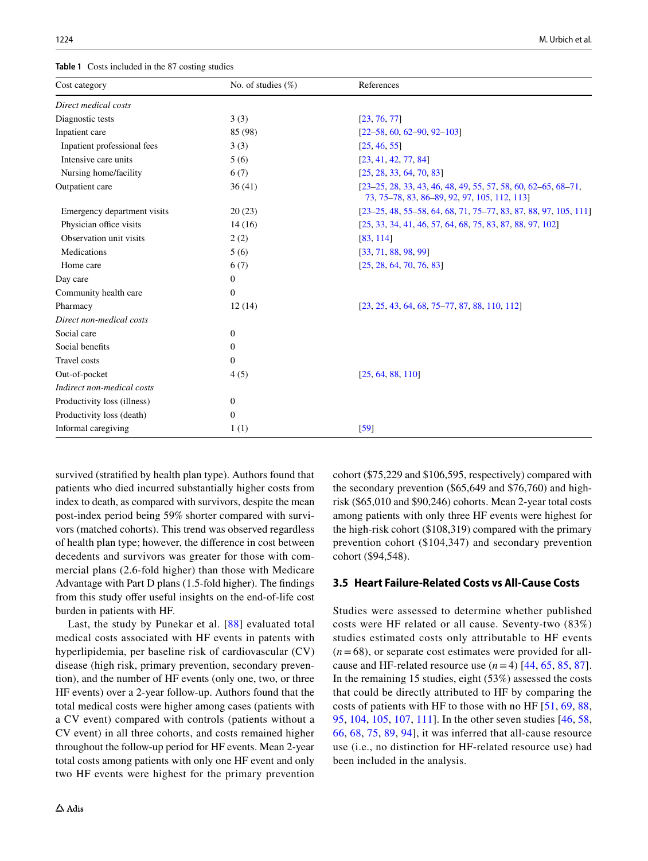<span id="page-5-0"></span>**Table 1** Costs included in the 87 costing studies

| Cost category               | No. of studies $(\%)$ | References                                                                                                      |  |  |
|-----------------------------|-----------------------|-----------------------------------------------------------------------------------------------------------------|--|--|
| Direct medical costs        |                       |                                                                                                                 |  |  |
| Diagnostic tests            | 3(3)                  | [23, 76, 77]                                                                                                    |  |  |
| Inpatient care              | 85 (98)               | $[22 - 58, 60, 62 - 90, 92 - 103]$                                                                              |  |  |
| Inpatient professional fees | 3(3)                  | [25, 46, 55]                                                                                                    |  |  |
| Intensive care units        | 5(6)                  | [23, 41, 42, 77, 84]                                                                                            |  |  |
| Nursing home/facility       | 6(7)                  | [25, 28, 33, 64, 70, 83]                                                                                        |  |  |
| Outpatient care             | 36(41)                | $[23-25, 28, 33, 43, 46, 48, 49, 55, 57, 58, 60, 62-65, 68-71,$<br>73, 75–78, 83, 86–89, 92, 97, 105, 112, 113] |  |  |
| Emergency department visits | 20(23)                | $[23-25, 48, 55-58, 64, 68, 71, 75-77, 83, 87, 88, 97, 105, 111]$                                               |  |  |
| Physician office visits     | 14(16)                | [25, 33, 34, 41, 46, 57, 64, 68, 75, 83, 87, 88, 97, 102]                                                       |  |  |
| Observation unit visits     | 2(2)                  | [83, 114]                                                                                                       |  |  |
| Medications                 | 5(6)                  | [33, 71, 88, 98, 99]                                                                                            |  |  |
| Home care                   | 6(7)                  | [25, 28, 64, 70, 76, 83]                                                                                        |  |  |
| Day care                    | $\mathbf{0}$          |                                                                                                                 |  |  |
| Community health care       | $\mathbf{0}$          |                                                                                                                 |  |  |
| Pharmacy                    | 12(14)                | $[23, 25, 43, 64, 68, 75-77, 87, 88, 110, 112]$                                                                 |  |  |
| Direct non-medical costs    |                       |                                                                                                                 |  |  |
| Social care                 | $\boldsymbol{0}$      |                                                                                                                 |  |  |
| Social benefits             | $\boldsymbol{0}$      |                                                                                                                 |  |  |
| <b>Travel</b> costs         | $\theta$              |                                                                                                                 |  |  |
| Out-of-pocket               | 4(5)                  | [25, 64, 88, 110]                                                                                               |  |  |
| Indirect non-medical costs  |                       |                                                                                                                 |  |  |
| Productivity loss (illness) | $\boldsymbol{0}$      |                                                                                                                 |  |  |
| Productivity loss (death)   | $\mathbf{0}$          |                                                                                                                 |  |  |
| Informal caregiving         | 1(1)                  | [59]                                                                                                            |  |  |

survived (stratifed by health plan type). Authors found that patients who died incurred substantially higher costs from index to death, as compared with survivors, despite the mean post-index period being 59% shorter compared with survivors (matched cohorts). This trend was observed regardless of health plan type; however, the diference in cost between decedents and survivors was greater for those with commercial plans (2.6-fold higher) than those with Medicare Advantage with Part D plans (1.5-fold higher). The fndings from this study offer useful insights on the end-of-life cost burden in patients with HF.

Last, the study by Punekar et al. [\[88\]](#page-16-7) evaluated total medical costs associated with HF events in patents with hyperlipidemia, per baseline risk of cardiovascular (CV) disease (high risk, primary prevention, secondary prevention), and the number of HF events (only one, two, or three HF events) over a 2-year follow-up. Authors found that the total medical costs were higher among cases (patients with a CV event) compared with controls (patients without a CV event) in all three cohorts, and costs remained higher throughout the follow-up period for HF events. Mean 2-year total costs among patients with only one HF event and only two HF events were highest for the primary prevention cohort (\$75,229 and \$106,595, respectively) compared with the secondary prevention (\$65,649 and \$76,760) and highrisk (\$65,010 and \$90,246) cohorts. Mean 2-year total costs among patients with only three HF events were highest for the high-risk cohort (\$108,319) compared with the primary prevention cohort (\$104,347) and secondary prevention cohort (\$94,548).

# **3.5 Heart Failure‑Related Costs vs All‑Cause Costs**

Studies were assessed to determine whether published costs were HF related or all cause. Seventy-two (83%) studies estimated costs only attributable to HF events  $(n=68)$ , or separate cost estimates were provided for allcause and HF-related resource use  $(n=4)$  [[44](#page-14-8), [65,](#page-15-8) [85,](#page-16-8) [87](#page-16-1)]. In the remaining 15 studies, eight (53%) assessed the costs that could be directly attributed to HF by comparing the costs of patients with HF to those with no HF [\[51,](#page-14-2) [69](#page-15-17), [88,](#page-16-7) [95](#page-16-9), [104,](#page-16-10) [105](#page-16-11), [107,](#page-16-12) [111](#page-16-13)]. In the other seven studies [\[46](#page-14-6), [58,](#page-15-5) [66,](#page-15-18) [68](#page-15-19), [75,](#page-15-20) [89,](#page-16-2) [94](#page-16-6)], it was inferred that all-cause resource use (i.e., no distinction for HF-related resource use) had been included in the analysis.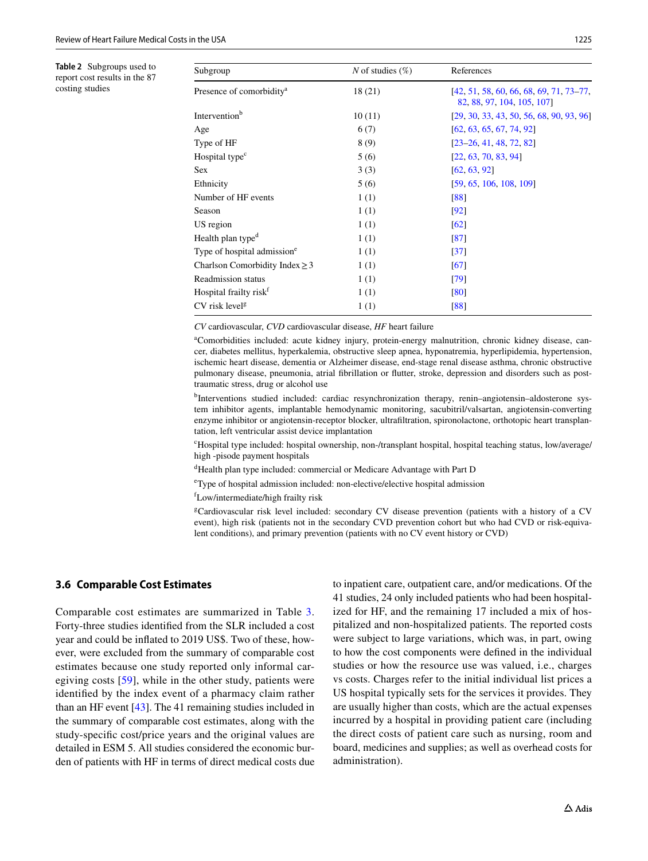<span id="page-6-0"></span>**Table 2** Subgroups used to report cost results in the 87 costing studies

| Subgroup                                | N of studies $(\%)$ | References<br>$[42, 51, 58, 60, 66, 68, 69, 71, 73-77,$<br>82, 88, 97, 104, 105, 1071 |  |  |  |
|-----------------------------------------|---------------------|---------------------------------------------------------------------------------------|--|--|--|
| Presence of comorbidity <sup>a</sup>    | 18(21)              |                                                                                       |  |  |  |
| Intervention <sup>b</sup>               | 10(11)              | $[29, 30, 33, 43, 50, 56, 68, 90, 93, 96]$                                            |  |  |  |
| Age                                     | 6(7)                | [62, 63, 65, 67, 74, 92]                                                              |  |  |  |
| Type of HF                              | 8(9)                | $[23-26, 41, 48, 72, 82]$                                                             |  |  |  |
| Hospital type <sup>c</sup>              | 5(6)                | [22, 63, 70, 83, 94]                                                                  |  |  |  |
| Sex                                     | 3(3)                | [62, 63, 92]                                                                          |  |  |  |
| Ethnicity                               | 5(6)                | [59, 65, 106, 108, 109]                                                               |  |  |  |
| Number of HF events                     | 1(1)                | [88]                                                                                  |  |  |  |
| Season                                  | 1(1)                | [92]                                                                                  |  |  |  |
| US region                               | 1(1)                | $\lceil 62 \rceil$                                                                    |  |  |  |
| Health plan type <sup>d</sup>           | 1(1)                | [87]                                                                                  |  |  |  |
| Type of hospital admission <sup>e</sup> | 1(1)                | $\left[37\right]$                                                                     |  |  |  |
| Charlson Comorbidity Index $\geq$ 3     | 1(1)                | [67]                                                                                  |  |  |  |
| Readmission status                      | 1(1)                | [79]                                                                                  |  |  |  |
| Hospital frailty risk <sup>f</sup>      | 1(1)                | [80]                                                                                  |  |  |  |
| CV risk level <sup>g</sup>              | 1(1)                | [88]                                                                                  |  |  |  |

*CV* cardiovascular, *CVD* cardiovascular disease, *HF* heart failure

a Comorbidities included: acute kidney injury, protein-energy malnutrition, chronic kidney disease, cancer, diabetes mellitus, hyperkalemia, obstructive sleep apnea, hyponatremia, hyperlipidemia, hypertension, ischemic heart disease, dementia or Alzheimer disease, end-stage renal disease asthma, chronic obstructive pulmonary disease, pneumonia, atrial fbrillation or futter, stroke, depression and disorders such as posttraumatic stress, drug or alcohol use

b Interventions studied included: cardiac resynchronization therapy, renin–angiotensin–aldosterone system inhibitor agents, implantable hemodynamic monitoring, sacubitril/valsartan, angiotensin-converting enzyme inhibitor or angiotensin-receptor blocker, ultrafltration, spironolactone, orthotopic heart transplantation, left ventricular assist device implantation

c Hospital type included: hospital ownership, non-/transplant hospital, hospital teaching status, low/average/ high -pisode payment hospitals

d Health plan type included: commercial or Medicare Advantage with Part D

e Type of hospital admission included: non-elective/elective hospital admission

f Low/intermediate/high frailty risk

g Cardiovascular risk level included: secondary CV disease prevention (patients with a history of a CV event), high risk (patients not in the secondary CVD prevention cohort but who had CVD or risk-equivalent conditions), and primary prevention (patients with no CV event history or CVD)

# **3.6 Comparable Cost Estimates**

Comparable cost estimates are summarized in Table [3.](#page-7-0) Forty-three studies identifed from the SLR included a cost year and could be infated to 2019 US\$. Two of these, however, were excluded from the summary of comparable cost estimates because one study reported only informal caregiving costs [[59](#page-15-2)], while in the other study, patients were identifed by the index event of a pharmacy claim rather than an HF event [\[43](#page-14-11)]. The 41 remaining studies included in the summary of comparable cost estimates, along with the study-specifc cost/price years and the original values are detailed in ESM 5. All studies considered the economic burden of patients with HF in terms of direct medical costs due to inpatient care, outpatient care, and/or medications. Of the 41 studies, 24 only included patients who had been hospitalized for HF, and the remaining 17 included a mix of hospitalized and non-hospitalized patients. The reported costs were subject to large variations, which was, in part, owing to how the cost components were defned in the individual studies or how the resource use was valued, i.e., charges vs costs. Charges refer to the initial individual list prices a US hospital typically sets for the services it provides. They are usually higher than costs, which are the actual expenses incurred by a hospital in providing patient care (including the direct costs of patient care such as nursing, room and board, medicines and supplies; as well as overhead costs for administration).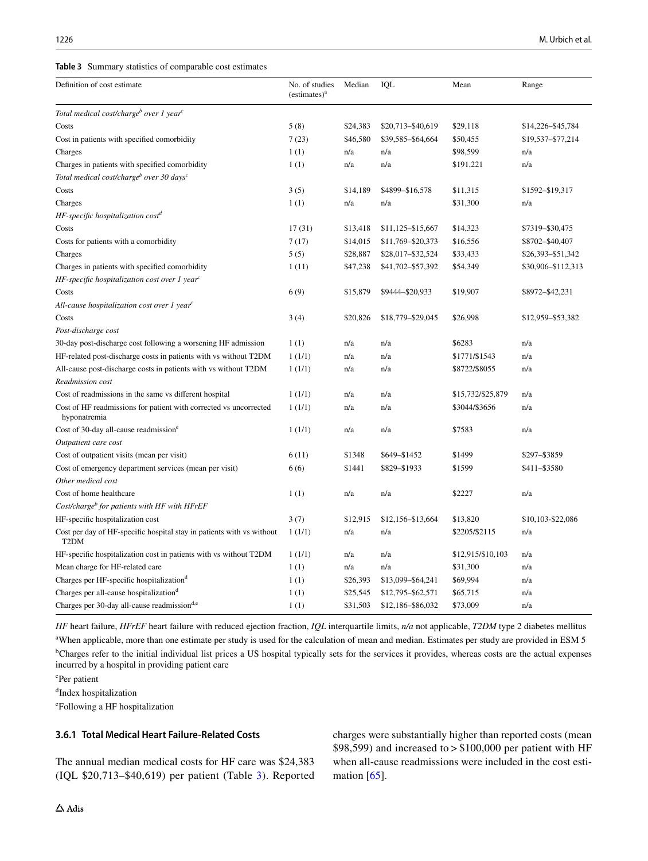<span id="page-7-0"></span>

| Definition of cost estimate                                                                | No. of studies<br>(estimates) <sup>a</sup> | Median   | IQL               | Mean              | Range              |
|--------------------------------------------------------------------------------------------|--------------------------------------------|----------|-------------------|-------------------|--------------------|
| Total medical cost/charge <sup>b</sup> over 1 year <sup>c</sup>                            |                                            |          |                   |                   |                    |
| Costs                                                                                      | 5(8)                                       | \$24,383 | \$20,713-\$40,619 | \$29,118          | \$14,226-\$45,784  |
| Cost in patients with specified comorbidity                                                | 7(23)                                      | \$46,580 | \$39,585-\$64,664 | \$50,455          | \$19,537-\$77,214  |
| Charges                                                                                    | 1(1)                                       | n/a      | n/a               | \$98,599          | n/a                |
| Charges in patients with specified comorbidity                                             | 1(1)                                       | n/a      | n/a               | \$191,221         | n/a                |
| Total medical cost/charge <sup>b</sup> over 30 days <sup>c</sup>                           |                                            |          |                   |                   |                    |
| Costs                                                                                      | 3(5)                                       | \$14,189 | \$4899-\$16,578   | \$11,315          | \$1592-\$19,317    |
| Charges                                                                                    | 1(1)                                       | n/a      | n/a               | \$31,300          | n/a                |
| HF-specific hospitalization cost <sup>d</sup>                                              |                                            |          |                   |                   |                    |
| Costs                                                                                      | 17(31)                                     | \$13,418 | \$11,125-\$15,667 | \$14,323          | \$7319-\$30,475    |
| Costs for patients with a comorbidity                                                      | 7(17)                                      | \$14,015 | \$11,769-\$20,373 | \$16,556          | \$8702-\$40,407    |
| Charges                                                                                    | 5(5)                                       | \$28,887 | \$28,017-\$32,524 | \$33,433          | \$26,393-\$51,342  |
| Charges in patients with specified comorbidity                                             | 1(11)                                      | \$47,238 | \$41,702-\$57,392 | \$54,349          | \$30,906-\$112,313 |
| HF-specific hospitalization cost over 1 year $\epsilon$                                    |                                            |          |                   |                   |                    |
| Costs                                                                                      | 6(9)                                       | \$15,879 | \$9444-\$20,933   | \$19,907          | \$8972-\$42,231    |
| All-cause hospitalization cost over 1 year <sup>c</sup>                                    |                                            |          |                   |                   |                    |
| Costs                                                                                      | 3(4)                                       | \$20,826 | \$18,779-\$29,045 | \$26,998          | \$12,959-\$53,382  |
| Post-discharge cost                                                                        |                                            |          |                   |                   |                    |
| 30-day post-discharge cost following a worsening HF admission                              | 1(1)                                       | n/a      | n/a               | \$6283            | n/a                |
| HF-related post-discharge costs in patients with vs without T2DM                           | 1(1/1)                                     | n/a      | n/a               | \$1771/\$1543     | n/a                |
| All-cause post-discharge costs in patients with vs without T2DM                            | 1(1/1)                                     | n/a      | n/a               | \$8722/\$8055     | n/a                |
| Readmission cost                                                                           |                                            |          |                   |                   |                    |
| Cost of readmissions in the same vs different hospital                                     | 1(1/1)                                     | n/a      | n/a               | \$15,732/\$25,879 | n/a                |
| Cost of HF readmissions for patient with corrected vs uncorrected<br>hyponatremia          | 1(1/1)                                     | n/a      | n/a               | \$3044/\$3656     | n/a                |
| Cost of 30-day all-cause readmission <sup>e</sup>                                          | 1(1/1)                                     | n/a      | n/a               | \$7583            | n/a                |
| Outpatient care cost                                                                       |                                            |          |                   |                   |                    |
| Cost of outpatient visits (mean per visit)                                                 | 6(11)                                      | \$1348   | \$649-\$1452      | \$1499            | \$297-\$3859       |
| Cost of emergency department services (mean per visit)                                     | 6(6)                                       | \$1441   | \$829-\$1933      | \$1599            | \$411-\$3580       |
| Other medical cost                                                                         |                                            |          |                   |                   |                    |
| Cost of home healthcare                                                                    | 1(1)                                       | n/a      | n/a               | \$2227            | n/a                |
| Cost/charge <sup>b</sup> for patients with HF with HFrEF                                   |                                            |          |                   |                   |                    |
| HF-specific hospitalization cost                                                           | 3(7)                                       | \$12,915 | \$12,156-\$13,664 | \$13,820          | \$10,103-\$22,086  |
| Cost per day of HF-specific hospital stay in patients with vs without<br>T <sub>2</sub> DM | 1(1/1)                                     | n/a      | n/a               | \$2205/\$2115     | n/a                |
| HF-specific hospitalization cost in patients with vs without T2DM                          | 1(1/1)                                     | n/a      | n/a               | \$12,915/\$10,103 | n/a                |
| Mean charge for HF-related care                                                            | 1(1)                                       | n/a      | n/a               | \$31,300          | n/a                |
| Charges per HF-specific hospitalization <sup>d</sup>                                       | 1(1)                                       | \$26,393 | \$13,099-\$64,241 | \$69,994          | n/a                |
| Charges per all-cause hospitalization <sup>d</sup>                                         | 1(1)                                       | \$25,545 | \$12,795-\$62,571 | \$65,715          | n/a                |
| Charges per 30-day all-cause readmission <sup>d,e</sup>                                    | 1(1)                                       | \$31,503 | \$12,186-\$86,032 | \$73,009          | n/a                |

*HF* heart failure, *HFrEF* heart failure with reduced ejection fraction, *IQL* interquartile limits, *n/a* not applicable, *T2DM* type 2 diabetes mellitus a When applicable, more than one estimate per study is used for the calculation of mean and median. Estimates per study are provided in ESM 5 <sup>b</sup>Charges refer to the initial individual list prices a US hospital typically sets for the services it provides, whereas costs are the actual expenses incurred by a hospital in providing patient care

c Per patient

d Index hospitalization

e Following a HF hospitalization

# **3.6.1 Total Medical Heart Failure‑Related Costs**

The annual median medical costs for HF care was \$24,383 (IQL \$20,713–\$40,619) per patient (Table [3](#page-7-0)). Reported charges were substantially higher than reported costs (mean \$98,599) and increased to  $>$  \$100,000 per patient with HF when all-cause readmissions were included in the cost estimation [[65](#page-15-8)].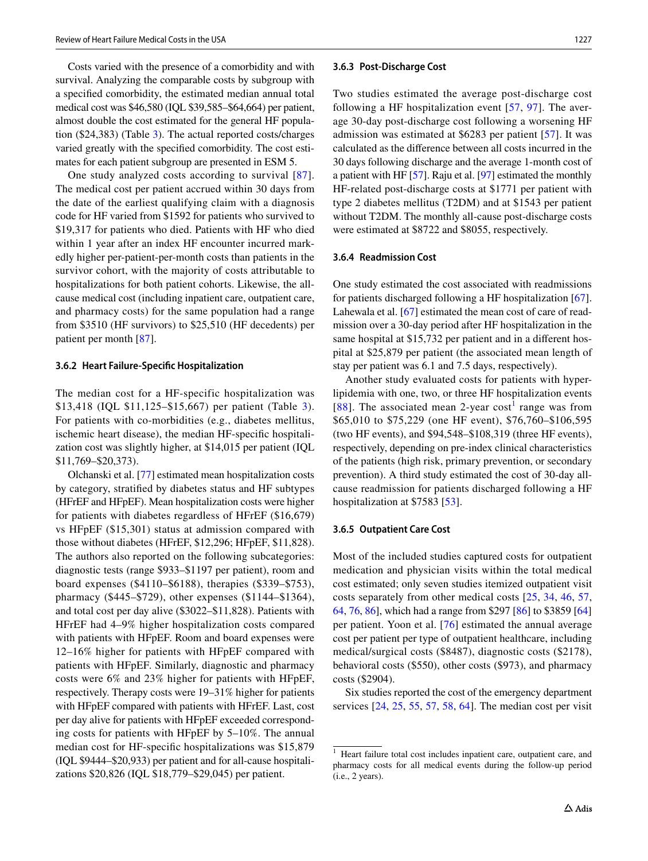Costs varied with the presence of a comorbidity and with survival. Analyzing the comparable costs by subgroup with a specifed comorbidity, the estimated median annual total medical cost was \$46,580 (IQL \$39,585–\$64,664) per patient, almost double the cost estimated for the general HF population (\$24,383) (Table [3](#page-7-0)). The actual reported costs/charges varied greatly with the specifed comorbidity. The cost estimates for each patient subgroup are presented in ESM 5.

One study analyzed costs according to survival [[87](#page-16-1)]. The medical cost per patient accrued within 30 days from the date of the earliest qualifying claim with a diagnosis code for HF varied from \$1592 for patients who survived to \$19,317 for patients who died. Patients with HF who died within 1 year after an index HF encounter incurred markedly higher per-patient-per-month costs than patients in the survivor cohort, with the majority of costs attributable to hospitalizations for both patient cohorts. Likewise, the allcause medical cost (including inpatient care, outpatient care, and pharmacy costs) for the same population had a range from \$3510 (HF survivors) to \$25,510 (HF decedents) per patient per month [\[87](#page-16-1)].

#### **3.6.2 Heart Failure‑Specifc Hospitalization**

The median cost for a HF-specific hospitalization was \$13,418 (IQL \$11,125–\$15,667) per patient (Table [3](#page-7-0)). For patients with co-morbidities (e.g., diabetes mellitus, ischemic heart disease), the median HF-specifc hospitalization cost was slightly higher, at \$14,015 per patient (IQL \$11,769–\$20,373).

Olchanski et al. [\[77](#page-15-16)] estimated mean hospitalization costs by category, stratifed by diabetes status and HF subtypes (HFrEF and HFpEF). Mean hospitalization costs were higher for patients with diabetes regardless of HFrEF (\$16,679) vs HFpEF (\$15,301) status at admission compared with those without diabetes (HFrEF, \$12,296; HFpEF, \$11,828). The authors also reported on the following subcategories: diagnostic tests (range \$933–\$1197 per patient), room and board expenses (\$4110–\$6188), therapies (\$339–\$753), pharmacy (\$445–\$729), other expenses (\$1144–\$1364), and total cost per day alive (\$3022–\$11,828). Patients with HFrEF had 4–9% higher hospitalization costs compared with patients with HFpEF. Room and board expenses were 12–16% higher for patients with HFpEF compared with patients with HFpEF. Similarly, diagnostic and pharmacy costs were 6% and 23% higher for patients with HFpEF, respectively. Therapy costs were 19–31% higher for patients with HFpEF compared with patients with HFrEF. Last, cost per day alive for patients with HFpEF exceeded corresponding costs for patients with HFpEF by 5–10%. The annual median cost for HF-specifc hospitalizations was \$15,879 (IQL \$9444–\$20,933) per patient and for all-cause hospitalizations \$20,826 (IQL \$18,779–\$29,045) per patient.

#### **3.6.3 Post‑Discharge Cost**

Two studies estimated the average post-discharge cost following a HF hospitalization event [[57](#page-15-1), [97\]](#page-16-17). The average 30-day post-discharge cost following a worsening HF admission was estimated at \$6283 per patient [\[57\]](#page-15-1). It was calculated as the diference between all costs incurred in the 30 days following discharge and the average 1-month cost of a patient with HF [\[57](#page-15-1)]. Raju et al. [\[97\]](#page-16-17) estimated the monthly HF-related post-discharge costs at \$1771 per patient with type 2 diabetes mellitus (T2DM) and at \$1543 per patient without T2DM. The monthly all-cause post-discharge costs were estimated at \$8722 and \$8055, respectively.

#### **3.6.4 Readmission Cost**

One study estimated the cost associated with readmissions for patients discharged following a HF hospitalization [\[67](#page-15-15)]. Lahewala et al. [\[67](#page-15-15)] estimated the mean cost of care of readmission over a 30-day period after HF hospitalization in the same hospital at \$15,732 per patient and in a different hospital at \$25,879 per patient (the associated mean length of stay per patient was 6.1 and 7.5 days, respectively).

Another study evaluated costs for patients with hyperlipidemia with one, two, or three HF hospitalization events [[88](#page-16-7)]. The associated mean 2-year cost<sup>[1](#page-8-0)</sup> range was from \$65,010 to \$75,229 (one HF event), \$76,760–\$106,595 (two HF events), and \$94,548–\$108,319 (three HF events), respectively, depending on pre-index clinical characteristics of the patients (high risk, primary prevention, or secondary prevention). A third study estimated the cost of 30-day allcause readmission for patients discharged following a HF hospitalization at \$7583 [\[53](#page-15-3)].

#### **3.6.5 Outpatient Care Cost**

Most of the included studies captured costs for outpatient medication and physician visits within the total medical cost estimated; only seven studies itemized outpatient visit costs separately from other medical costs [[25](#page-14-10), [34](#page-14-16), [46,](#page-14-6) [57,](#page-15-1) [64](#page-15-7), [76,](#page-15-11) [86\]](#page-16-0), which had a range from \$297 [[86\]](#page-16-0) to \$3859 [[64\]](#page-15-7) per patient. Yoon et al. [[76](#page-15-11)] estimated the annual average cost per patient per type of outpatient healthcare, including medical/surgical costs (\$8487), diagnostic costs (\$2178), behavioral costs (\$550), other costs (\$973), and pharmacy costs (\$2904).

Six studies reported the cost of the emergency department services [\[24](#page-14-7), [25,](#page-14-10) [55](#page-15-4), [57,](#page-15-1) [58,](#page-15-5) [64](#page-15-7)]. The median cost per visit

<span id="page-8-0"></span><sup>&</sup>lt;sup>1</sup> Heart failure total cost includes inpatient care, outpatient care, and pharmacy costs for all medical events during the follow-up period (i.e., 2 years).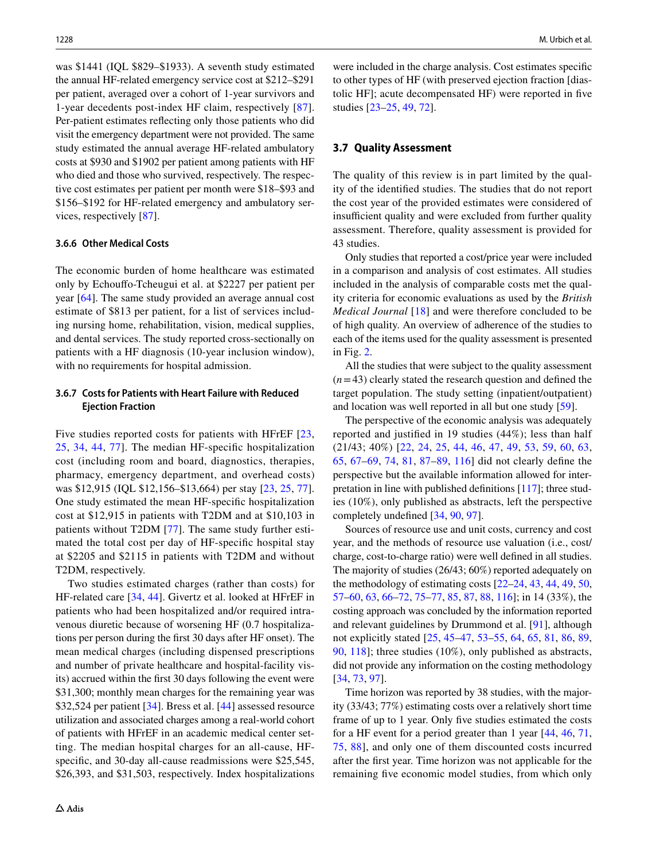was \$1441 (IQL \$829–\$1933). A seventh study estimated the annual HF-related emergency service cost at \$212–\$291 per patient, averaged over a cohort of 1-year survivors and 1-year decedents post-index HF claim, respectively [[87](#page-16-1)]. Per-patient estimates refecting only those patients who did visit the emergency department were not provided. The same study estimated the annual average HF-related ambulatory costs at \$930 and \$1902 per patient among patients with HF who died and those who survived, respectively. The respective cost estimates per patient per month were \$18–\$93 and \$156–\$192 for HF-related emergency and ambulatory services, respectively [\[87](#page-16-1)].

### **3.6.6 Other Medical Costs**

The economic burden of home healthcare was estimated only by Echoufo-Tcheugui et al. at \$2227 per patient per year [\[64](#page-15-7)]. The same study provided an average annual cost estimate of \$813 per patient, for a list of services including nursing home, rehabilitation, vision, medical supplies, and dental services. The study reported cross-sectionally on patients with a HF diagnosis (10-year inclusion window), with no requirements for hospital admission.

# **3.6.7 Costs for Patients with Heart Failure with Reduced Ejection Fraction**

Five studies reported costs for patients with HFrEF [\[23,](#page-13-22) [25](#page-14-10), [34](#page-14-16), [44,](#page-14-8) [77](#page-15-16)]. The median HF-specifc hospitalization cost (including room and board, diagnostics, therapies, pharmacy, emergency department, and overhead costs) was \$12,915 (IQL \$12,156–\$13,664) per stay [\[23](#page-13-22), [25,](#page-14-10) [77](#page-15-16)]. One study estimated the mean HF-specifc hospitalization cost at \$12,915 in patients with T2DM and at \$10,103 in patients without T2DM [[77](#page-15-16)]. The same study further estimated the total cost per day of HF-specifc hospital stay at \$2205 and \$2115 in patients with T2DM and without T2DM, respectively.

Two studies estimated charges (rather than costs) for HF-related care [[34,](#page-14-16) [44](#page-14-8)]. Givertz et al. looked at HFrEF in patients who had been hospitalized and/or required intravenous diuretic because of worsening HF (0.7 hospitalizations per person during the frst 30 days after HF onset). The mean medical charges (including dispensed prescriptions and number of private healthcare and hospital-facility visits) accrued within the frst 30 days following the event were \$31,300; monthly mean charges for the remaining year was \$32,524 per patient [[34\]](#page-14-16). Bress et al. [[44\]](#page-14-8) assessed resource utilization and associated charges among a real-world cohort of patients with HFrEF in an academic medical center setting. The median hospital charges for an all-cause, HFspecific, and 30-day all-cause readmissions were \$25,545, \$26,393, and \$31,503, respectively. Index hospitalizations were included in the charge analysis. Cost estimates specifc to other types of HF (with preserved ejection fraction [diastolic HF]; acute decompensated HF) were reported in fve studies [[23](#page-13-22)[–25](#page-14-10), [49](#page-14-0), [72](#page-15-24)].

### **3.7 Quality Assessment**

The quality of this review is in part limited by the quality of the identifed studies. The studies that do not report the cost year of the provided estimates were considered of insufficient quality and were excluded from further quality assessment. Therefore, quality assessment is provided for 43 studies.

Only studies that reported a cost/price year were included in a comparison and analysis of cost estimates. All studies included in the analysis of comparable costs met the quality criteria for economic evaluations as used by the *British Medical Journal* [\[18\]](#page-13-17) and were therefore concluded to be of high quality. An overview of adherence of the studies to each of the items used for the quality assessment is presented in Fig. [2.](#page-10-0)

All the studies that were subject to the quality assessment  $(n=43)$  clearly stated the research question and defined the target population. The study setting (inpatient/outpatient) and location was well reported in all but one study [[59](#page-15-2)].

The perspective of the economic analysis was adequately reported and justifed in 19 studies (44%); less than half (21/43; 40%) [[22](#page-13-21), [24,](#page-14-7) [25](#page-14-10), [44](#page-14-8), [46,](#page-14-6) [47](#page-14-9), [49](#page-14-0), [53,](#page-15-3) [59](#page-15-2), [60](#page-15-6), [63,](#page-15-14) [65](#page-15-8), [67–](#page-15-15)[69](#page-15-17), [74](#page-15-10), [81](#page-15-27), [87](#page-16-1)[–89,](#page-16-2) [116\]](#page-17-3) did not clearly defne the perspective but the available information allowed for interpretation in line with published defnitions [[117\]](#page-17-4); three studies (10%), only published as abstracts, left the perspective completely undefned [[34,](#page-14-16) [90](#page-16-3), [97](#page-16-17)].

Sources of resource use and unit costs, currency and cost year, and the methods of resource use valuation (i.e., cost/ charge, cost-to-charge ratio) were well defned in all studies. The majority of studies (26/43; 60%) reported adequately on the methodology of estimating costs [\[22](#page-13-21)[–24](#page-14-7), [43](#page-14-11), [44,](#page-14-8) [49,](#page-14-0) [50,](#page-14-1) [57](#page-15-1)[–60](#page-15-6), [63](#page-15-14), [66](#page-15-18)[–72](#page-15-24), [75](#page-15-20)[–77,](#page-15-16) [85,](#page-16-8) [87,](#page-16-1) [88](#page-16-7), [116](#page-17-3)]; in 14 (33%), the costing approach was concluded by the information reported and relevant guidelines by Drummond et al. [\[91](#page-16-4)], although not explicitly stated [[25,](#page-14-10) [45](#page-14-3)[–47](#page-14-9), [53–](#page-15-3)[55](#page-15-4), [64,](#page-15-7) [65](#page-15-8), [81,](#page-15-27) [86](#page-16-0), [89,](#page-16-2) [90](#page-16-3), [118](#page-17-5)]; three studies (10%), only published as abstracts, did not provide any information on the costing methodology [[34,](#page-14-16) [73,](#page-15-12) [97\]](#page-16-17).

Time horizon was reported by 38 studies, with the majority (33/43; 77%) estimating costs over a relatively short time frame of up to 1 year. Only fve studies estimated the costs for a HF event for a period greater than 1 year [[44,](#page-14-8) [46](#page-14-6), [71,](#page-15-9) [75,](#page-15-20) [88\]](#page-16-7), and only one of them discounted costs incurred after the frst year. Time horizon was not applicable for the remaining fve economic model studies, from which only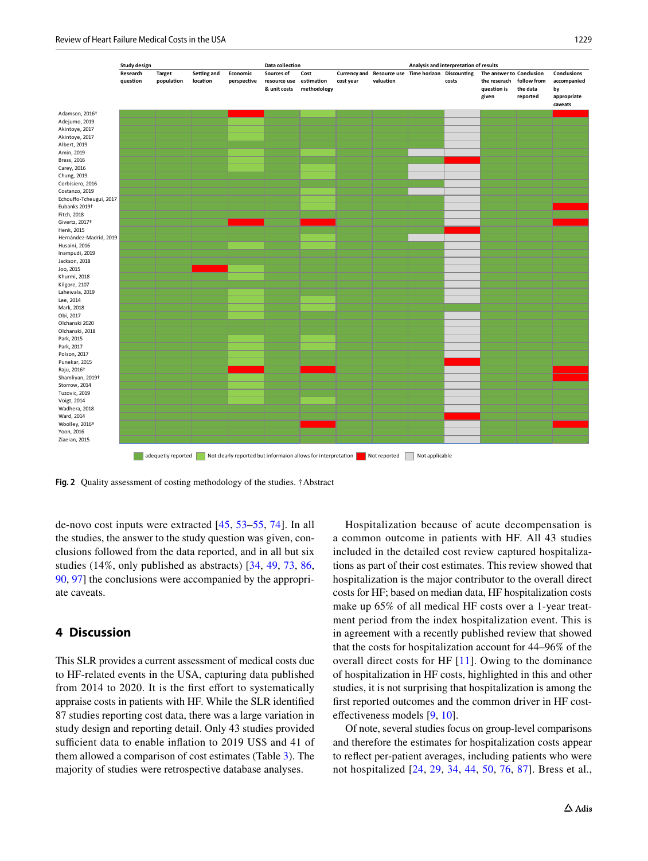

<span id="page-10-0"></span>**Fig. 2** Quality assessment of costing methodology of the studies. †Abstract

de-novo cost inputs were extracted [\[45](#page-14-3), [53](#page-15-3)[–55,](#page-15-4) [74](#page-15-10)]. In all the studies, the answer to the study question was given, conclusions followed from the data reported, and in all but six studies (14%, only published as abstracts) [\[34,](#page-14-16) [49](#page-14-0), [73,](#page-15-12) [86,](#page-16-0) [90](#page-16-3), [97](#page-16-17)] the conclusions were accompanied by the appropriate caveats.

# **4 Discussion**

This SLR provides a current assessment of medical costs due to HF-related events in the USA, capturing data published from 2014 to 2020. It is the first effort to systematically appraise costs in patients with HF. While the SLR identifed 87 studies reporting cost data, there was a large variation in study design and reporting detail. Only 43 studies provided sufficient data to enable inflation to 2019 US\$ and 41 of them allowed a comparison of cost estimates (Table [3](#page-7-0)). The majority of studies were retrospective database analyses.

Hospitalization because of acute decompensation is a common outcome in patients with HF. All 43 studies included in the detailed cost review captured hospitalizations as part of their cost estimates. This review showed that hospitalization is the major contributor to the overall direct costs for HF; based on median data, HF hospitalization costs make up 65% of all medical HF costs over a 1-year treatment period from the index hospitalization event. This is in agreement with a recently published review that showed that the costs for hospitalization account for 44–96% of the overall direct costs for HF [[11](#page-13-5)]. Owing to the dominance of hospitalization in HF costs, highlighted in this and other studies, it is not surprising that hospitalization is among the frst reported outcomes and the common driver in HF costefectiveness models [[9,](#page-13-15) [10\]](#page-13-16).

Of note, several studies focus on group-level comparisons and therefore the estimates for hospitalization costs appear to refect per-patient averages, including patients who were not hospitalized [\[24,](#page-14-7) [29,](#page-14-17) [34,](#page-14-16) [44,](#page-14-8) [50,](#page-14-1) [76,](#page-15-11) [87\]](#page-16-1). Bress et al.,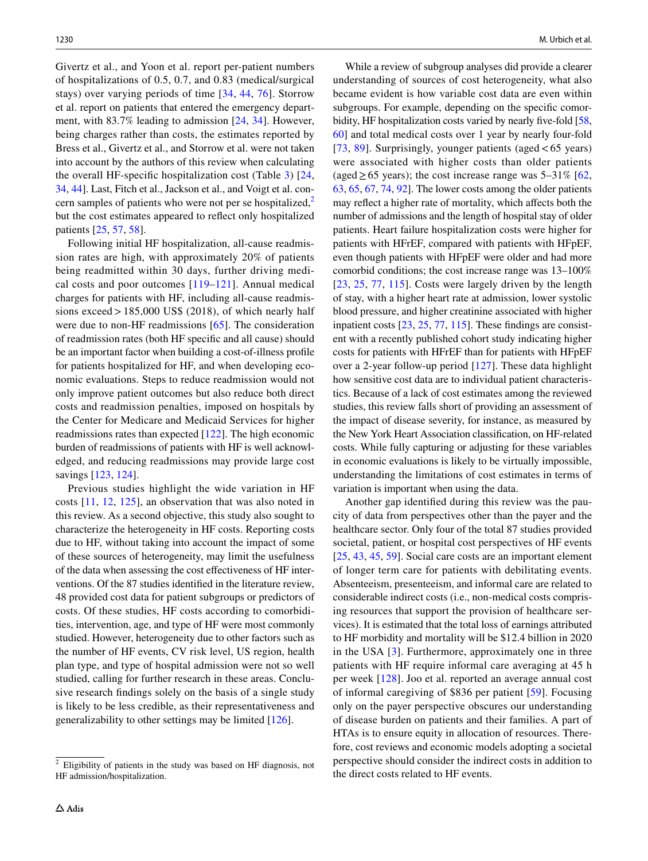Givertz et al., and Yoon et al. report per-patient numbers of hospitalizations of 0.5, 0.7, and 0.83 (medical/surgical stays) over varying periods of time [\[34,](#page-14-16) [44,](#page-14-8) [76\]](#page-15-11). Storrow et al. report on patients that entered the emergency department, with 83.7% leading to admission [\[24](#page-14-7), [34\]](#page-14-16). However, being charges rather than costs, the estimates reported by Bress et al., Givertz et al., and Storrow et al. were not taken into account by the authors of this review when calculating the overall HF-specifc hospitalization cost (Table [3\)](#page-7-0) [\[24,](#page-14-7) [34](#page-14-16), [44\]](#page-14-8). Last, Fitch et al., Jackson et al., and Voigt et al. concern samples of patients who were not per se hospitalized, $<sup>2</sup>$  $<sup>2</sup>$  $<sup>2</sup>$ </sup> but the cost estimates appeared to refect only hospitalized patients [\[25](#page-14-10), [57,](#page-15-1) [58\]](#page-15-5).

Following initial HF hospitalization, all-cause readmission rates are high, with approximately 20% of patients being readmitted within 30 days, further driving medical costs and poor outcomes [\[119–](#page-17-6)[121](#page-17-7)]. Annual medical charges for patients with HF, including all-cause readmissions exceed  $>185,000$  US\$ (2018), of which nearly half were due to non-HF readmissions [\[65](#page-15-8)]. The consideration of readmission rates (both HF specifc and all cause) should be an important factor when building a cost-of-illness profle for patients hospitalized for HF, and when developing economic evaluations. Steps to reduce readmission would not only improve patient outcomes but also reduce both direct costs and readmission penalties, imposed on hospitals by the Center for Medicare and Medicaid Services for higher readmissions rates than expected [\[122\]](#page-17-8). The high economic burden of readmissions of patients with HF is well acknowledged, and reducing readmissions may provide large cost savings [[123](#page-17-9), [124](#page-17-10)].

Previous studies highlight the wide variation in HF costs [[11](#page-13-5), [12](#page-13-6), [125](#page-17-11)], an observation that was also noted in this review. As a second objective, this study also sought to characterize the heterogeneity in HF costs. Reporting costs due to HF, without taking into account the impact of some of these sources of heterogeneity, may limit the usefulness of the data when assessing the cost efectiveness of HF interventions. Of the 87 studies identifed in the literature review, 48 provided cost data for patient subgroups or predictors of costs. Of these studies, HF costs according to comorbidities, intervention, age, and type of HF were most commonly studied. However, heterogeneity due to other factors such as the number of HF events, CV risk level, US region, health plan type, and type of hospital admission were not so well studied, calling for further research in these areas. Conclusive research fndings solely on the basis of a single study is likely to be less credible, as their representativeness and generalizability to other settings may be limited [\[126](#page-17-12)].

While a review of subgroup analyses did provide a clearer understanding of sources of cost heterogeneity, what also became evident is how variable cost data are even within subgroups. For example, depending on the specifc comorbidity, HF hospitalization costs varied by nearly fve-fold [[58,](#page-15-5) [60](#page-15-6)] and total medical costs over 1 year by nearly four-fold [[73,](#page-15-12) [89\]](#page-16-2). Surprisingly, younger patients (aged  $< 65$  years) were associated with higher costs than older patients (aged  $\geq$  65 years); the cost increase range was 5–31% [[62,](#page-15-13) [63](#page-15-14), [65,](#page-15-8) [67](#page-15-15), [74](#page-15-10), [92\]](#page-16-5). The lower costs among the older patients may refect a higher rate of mortality, which afects both the number of admissions and the length of hospital stay of older patients. Heart failure hospitalization costs were higher for patients with HFrEF, compared with patients with HFpEF, even though patients with HFpEF were older and had more comorbid conditions; the cost increase range was 13–100% [[23,](#page-13-22) [25,](#page-14-10) [77](#page-15-16), [115](#page-17-0)]. Costs were largely driven by the length of stay, with a higher heart rate at admission, lower systolic blood pressure, and higher creatinine associated with higher inpatient costs [\[23](#page-13-22), [25](#page-14-10), [77](#page-15-16), [115](#page-17-0)]. These fndings are consistent with a recently published cohort study indicating higher costs for patients with HFrEF than for patients with HFpEF over a 2-year follow-up period [[127\]](#page-17-13). These data highlight how sensitive cost data are to individual patient characteristics. Because of a lack of cost estimates among the reviewed studies, this review falls short of providing an assessment of the impact of disease severity, for instance, as measured by the New York Heart Association classifcation, on HF-related costs. While fully capturing or adjusting for these variables in economic evaluations is likely to be virtually impossible, understanding the limitations of cost estimates in terms of variation is important when using the data.

Another gap identifed during this review was the paucity of data from perspectives other than the payer and the healthcare sector. Only four of the total 87 studies provided societal, patient, or hospital cost perspectives of HF events [[25,](#page-14-10) [43,](#page-14-11) [45,](#page-14-3) [59](#page-15-2)]. Social care costs are an important element of longer term care for patients with debilitating events. Absenteeism, presenteeism, and informal care are related to considerable indirect costs (i.e., non-medical costs comprising resources that support the provision of healthcare services). It is estimated that the total loss of earnings attributed to HF morbidity and mortality will be \$12.4 billion in 2020 in the USA [[3](#page-13-2)]. Furthermore, approximately one in three patients with HF require informal care averaging at 45 h per week [[128](#page-17-14)]. Joo et al. reported an average annual cost of informal caregiving of \$836 per patient [[59\]](#page-15-2). Focusing only on the payer perspective obscures our understanding of disease burden on patients and their families. A part of HTAs is to ensure equity in allocation of resources. Therefore, cost reviews and economic models adopting a societal perspective should consider the indirect costs in addition to the direct costs related to HF events.

<span id="page-11-0"></span><sup>&</sup>lt;sup>2</sup> Eligibility of patients in the study was based on HF diagnosis, not HF admission/hospitalization.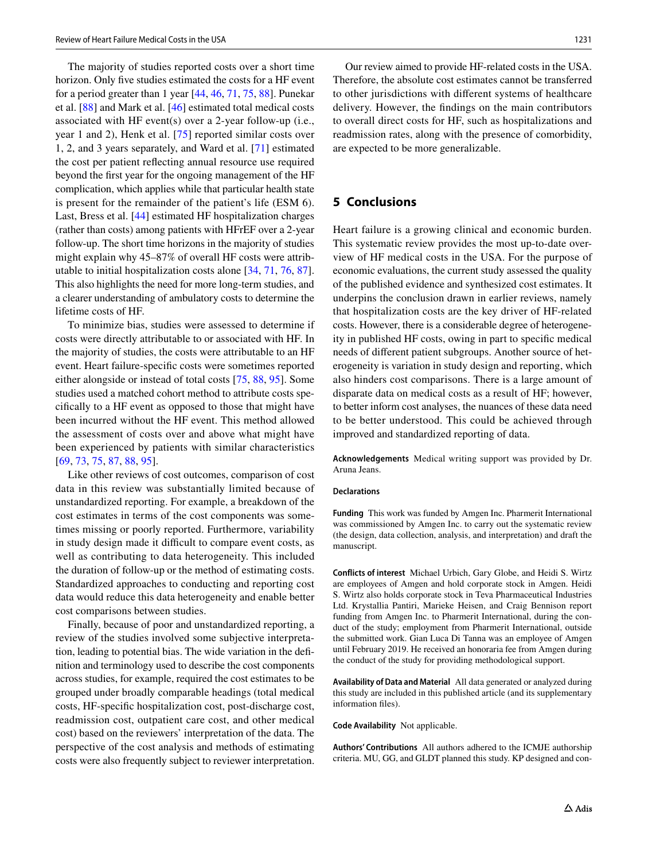The majority of studies reported costs over a short time horizon. Only fve studies estimated the costs for a HF event for a period greater than 1 year [\[44](#page-14-8), [46,](#page-14-6) [71,](#page-15-9) [75](#page-15-20), [88](#page-16-7)]. Punekar et al. [[88](#page-16-7)] and Mark et al. [[46\]](#page-14-6) estimated total medical costs associated with HF event(s) over a 2-year follow-up (i.e., year 1 and 2), Henk et al. [[75\]](#page-15-20) reported similar costs over 1, 2, and 3 years separately, and Ward et al. [\[71](#page-15-9)] estimated the cost per patient refecting annual resource use required beyond the frst year for the ongoing management of the HF complication, which applies while that particular health state is present for the remainder of the patient's life (ESM 6). Last, Bress et al. [[44\]](#page-14-8) estimated HF hospitalization charges (rather than costs) among patients with HFrEF over a 2-year follow-up. The short time horizons in the majority of studies might explain why 45–87% of overall HF costs were attributable to initial hospitalization costs alone [[34,](#page-14-16) [71,](#page-15-9) [76](#page-15-11), [87](#page-16-1)]. This also highlights the need for more long-term studies, and a clearer understanding of ambulatory costs to determine the lifetime costs of HF.

To minimize bias, studies were assessed to determine if costs were directly attributable to or associated with HF. In the majority of studies, the costs were attributable to an HF event. Heart failure-specifc costs were sometimes reported either alongside or instead of total costs [\[75,](#page-15-20) [88,](#page-16-7) [95\]](#page-16-9). Some studies used a matched cohort method to attribute costs specifcally to a HF event as opposed to those that might have been incurred without the HF event. This method allowed the assessment of costs over and above what might have been experienced by patients with similar characteristics [\[69,](#page-15-17) [73,](#page-15-12) [75,](#page-15-20) [87,](#page-16-1) [88,](#page-16-7) [95\]](#page-16-9).

Like other reviews of cost outcomes, comparison of cost data in this review was substantially limited because of unstandardized reporting. For example, a breakdown of the cost estimates in terms of the cost components was sometimes missing or poorly reported. Furthermore, variability in study design made it difficult to compare event costs, as well as contributing to data heterogeneity. This included the duration of follow-up or the method of estimating costs. Standardized approaches to conducting and reporting cost data would reduce this data heterogeneity and enable better cost comparisons between studies.

Finally, because of poor and unstandardized reporting, a review of the studies involved some subjective interpretation, leading to potential bias. The wide variation in the defnition and terminology used to describe the cost components across studies, for example, required the cost estimates to be grouped under broadly comparable headings (total medical costs, HF-specifc hospitalization cost, post-discharge cost, readmission cost, outpatient care cost, and other medical cost) based on the reviewers' interpretation of the data. The perspective of the cost analysis and methods of estimating costs were also frequently subject to reviewer interpretation.

Our review aimed to provide HF-related costs in the USA. Therefore, the absolute cost estimates cannot be transferred to other jurisdictions with diferent systems of healthcare delivery. However, the fndings on the main contributors to overall direct costs for HF, such as hospitalizations and readmission rates, along with the presence of comorbidity, are expected to be more generalizable.

# **5 Conclusions**

Heart failure is a growing clinical and economic burden. This systematic review provides the most up-to-date overview of HF medical costs in the USA. For the purpose of economic evaluations, the current study assessed the quality of the published evidence and synthesized cost estimates. It underpins the conclusion drawn in earlier reviews, namely that hospitalization costs are the key driver of HF-related costs. However, there is a considerable degree of heterogeneity in published HF costs, owing in part to specifc medical needs of diferent patient subgroups. Another source of heterogeneity is variation in study design and reporting, which also hinders cost comparisons. There is a large amount of disparate data on medical costs as a result of HF; however, to better inform cost analyses, the nuances of these data need to be better understood. This could be achieved through improved and standardized reporting of data.

**Acknowledgements** Medical writing support was provided by Dr. Aruna Jeans.

#### **Declarations**

**Funding** This work was funded by Amgen Inc. Pharmerit International was commissioned by Amgen Inc. to carry out the systematic review (the design, data collection, analysis, and interpretation) and draft the manuscript.

**Conflicts of interest** Michael Urbich, Gary Globe, and Heidi S. Wirtz are employees of Amgen and hold corporate stock in Amgen. Heidi S. Wirtz also holds corporate stock in Teva Pharmaceutical Industries Ltd. Krystallia Pantiri, Marieke Heisen, and Craig Bennison report funding from Amgen Inc. to Pharmerit International, during the conduct of the study; employment from Pharmerit International, outside the submitted work. Gian Luca Di Tanna was an employee of Amgen until February 2019. He received an honoraria fee from Amgen during the conduct of the study for providing methodological support.

**Availability of Data and Material** All data generated or analyzed during this study are included in this published article (and its supplementary information fles).

**Code Availability** Not applicable.

**Authors' Contributions** All authors adhered to the ICMJE authorship criteria. MU, GG, and GLDT planned this study. KP designed and con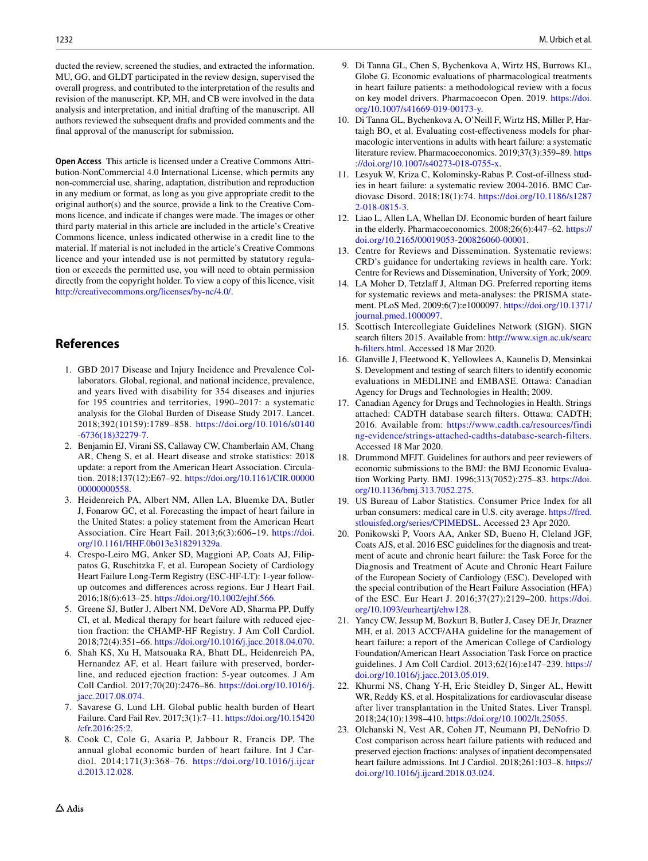ducted the review, screened the studies, and extracted the information. MU, GG, and GLDT participated in the review design, supervised the overall progress, and contributed to the interpretation of the results and revision of the manuscript. KP, MH, and CB were involved in the data analysis and interpretation, and initial drafting of the manuscript. All authors reviewed the subsequent drafts and provided comments and the fnal approval of the manuscript for submission.

**Open Access** This article is licensed under a Creative Commons Attribution-NonCommercial 4.0 International License, which permits any non-commercial use, sharing, adaptation, distribution and reproduction in any medium or format, as long as you give appropriate credit to the original author(s) and the source, provide a link to the Creative Commons licence, and indicate if changes were made. The images or other third party material in this article are included in the article's Creative Commons licence, unless indicated otherwise in a credit line to the material. If material is not included in the article's Creative Commons licence and your intended use is not permitted by statutory regulation or exceeds the permitted use, you will need to obtain permission directly from the copyright holder. To view a copy of this licence, visit <http://creativecommons.org/licenses/by-nc/4.0/>.

# **References**

- <span id="page-13-0"></span>1. GBD 2017 Disease and Injury Incidence and Prevalence Collaborators. Global, regional, and national incidence, prevalence, and years lived with disability for 354 diseases and injuries for 195 countries and territories, 1990–2017: a systematic analysis for the Global Burden of Disease Study 2017. Lancet. 2018;392(10159):1789–858. [https://doi.org/10.1016/s0140](https://doi.org/10.1016/s0140-6736(18)32279-7) [-6736\(18\)32279-7.](https://doi.org/10.1016/s0140-6736(18)32279-7)
- <span id="page-13-1"></span>2. Benjamin EJ, Virani SS, Callaway CW, Chamberlain AM, Chang AR, Cheng S, et al. Heart disease and stroke statistics: 2018 update: a report from the American Heart Association. Circulation. 2018;137(12):E67–92. [https://doi.org/10.1161/CIR.00000](https://doi.org/10.1161/CIR.0000000000000558) [00000000558.](https://doi.org/10.1161/CIR.0000000000000558)
- <span id="page-13-2"></span>3. Heidenreich PA, Albert NM, Allen LA, Bluemke DA, Butler J, Fonarow GC, et al. Forecasting the impact of heart failure in the United States: a policy statement from the American Heart Association. Circ Heart Fail. 2013;6(3):606–19. [https://doi.](https://doi.org/10.1161/HHF.0b013e318291329a) [org/10.1161/HHF.0b013e318291329a](https://doi.org/10.1161/HHF.0b013e318291329a).
- <span id="page-13-3"></span>4. Crespo-Leiro MG, Anker SD, Maggioni AP, Coats AJ, Filippatos G, Ruschitzka F, et al. European Society of Cardiology Heart Failure Long-Term Registry (ESC-HF-LT): 1-year followup outcomes and diferences across regions. Eur J Heart Fail. 2016;18(6):613–25. [https://doi.org/10.1002/ejhf.566.](https://doi.org/10.1002/ejhf.566)
- <span id="page-13-4"></span>5. Greene SJ, Butler J, Albert NM, DeVore AD, Sharma PP, Dufy CI, et al. Medical therapy for heart failure with reduced ejection fraction: the CHAMP-HF Registry. J Am Coll Cardiol. 2018;72(4):351–66. [https://doi.org/10.1016/j.jacc.2018.04.070.](https://doi.org/10.1016/j.jacc.2018.04.070)
- <span id="page-13-12"></span>6. Shah KS, Xu H, Matsouaka RA, Bhatt DL, Heidenreich PA, Hernandez AF, et al. Heart failure with preserved, borderline, and reduced ejection fraction: 5-year outcomes. J Am Coll Cardiol. 2017;70(20):2476–86. [https://doi.org/10.1016/j.](https://doi.org/10.1016/j.jacc.2017.08.074) [jacc.2017.08.074.](https://doi.org/10.1016/j.jacc.2017.08.074)
- <span id="page-13-13"></span>7. Savarese G, Lund LH. Global public health burden of Heart Failure. Card Fail Rev. 2017;3(1):7–11. [https://doi.org/10.15420](https://doi.org/10.15420/cfr.2016:25:2) [/cfr.2016:25:2](https://doi.org/10.15420/cfr.2016:25:2).
- <span id="page-13-14"></span>8. Cook C, Cole G, Asaria P, Jabbour R, Francis DP. The annual global economic burden of heart failure. Int J Cardiol. 2014;171(3):368–76. [https://doi.org/10.1016/j.ijcar](https://doi.org/10.1016/j.ijcard.2013.12.028) [d.2013.12.028.](https://doi.org/10.1016/j.ijcard.2013.12.028)
- <span id="page-13-15"></span>9. Di Tanna GL, Chen S, Bychenkova A, Wirtz HS, Burrows KL, Globe G. Economic evaluations of pharmacological treatments in heart failure patients: a methodological review with a focus on key model drivers. Pharmacoecon Open. 2019. [https://doi.](https://doi.org/10.1007/s41669-019-00173-y) [org/10.1007/s41669-019-00173-y](https://doi.org/10.1007/s41669-019-00173-y).
- <span id="page-13-16"></span>10. Di Tanna GL, Bychenkova A, O'Neill F, Wirtz HS, Miller P, Hartaigh BO, et al. Evaluating cost-efectiveness models for pharmacologic interventions in adults with heart failure: a systematic literature review. Pharmacoeconomics. 2019;37(3):359–89. [https](https://doi.org/10.1007/s40273-018-0755-x) [://doi.org/10.1007/s40273-018-0755-x.](https://doi.org/10.1007/s40273-018-0755-x)
- <span id="page-13-5"></span>11. Lesyuk W, Kriza C, Kolominsky-Rabas P. Cost-of-illness studies in heart failure: a systematic review 2004-2016. BMC Cardiovasc Disord. 2018;18(1):74. [https://doi.org/10.1186/s1287](https://doi.org/10.1186/s12872-018-0815-3) [2-018-0815-3.](https://doi.org/10.1186/s12872-018-0815-3)
- <span id="page-13-6"></span>12. Liao L, Allen LA, Whellan DJ. Economic burden of heart failure in the elderly. Pharmacoeconomics. 2008;26(6):447–62. [https://](https://doi.org/10.2165/00019053-200826060-00001) [doi.org/10.2165/00019053-200826060-00001](https://doi.org/10.2165/00019053-200826060-00001).
- <span id="page-13-7"></span>13. Centre for Reviews and Dissemination. Systematic reviews: CRD's guidance for undertaking reviews in health care. York: Centre for Reviews and Dissemination, University of York; 2009.
- <span id="page-13-8"></span>14. LA Moher D, Tetzlaff J, Altman DG. Preferred reporting items for systematic reviews and meta-analyses: the PRISMA statement. PLoS Med. 2009;6(7):e1000097. [https://doi.org/10.1371/](https://doi.org/10.1371/journal.pmed.1000097) [journal.pmed.1000097.](https://doi.org/10.1371/journal.pmed.1000097)
- <span id="page-13-9"></span>15. Scottisch Intercollegiate Guidelines Network (SIGN). SIGN search filters 2015. Available from: [http://www.sign.ac.uk/searc](http://www.sign.ac.uk/search-filters.html) [h-flters.html](http://www.sign.ac.uk/search-filters.html). Accessed 18 Mar 2020.
- <span id="page-13-10"></span>16. Glanville J, Fleetwood K, Yellowlees A, Kaunelis D, Mensinkai S. Development and testing of search flters to identify economic evaluations in MEDLINE and EMBASE. Ottawa: Canadian Agency for Drugs and Technologies in Health; 2009.
- <span id="page-13-11"></span>17. Canadian Agency for Drugs and Technologies in Health. Strings attached: CADTH database search flters. Ottawa: CADTH; 2016. Available from: [https://www.cadth.ca/resources/findi](https://www.cadth.ca/resources/finding-evidence/strings-attached-cadths-database-search-filters) [ng-evidence/strings-attached-cadths-database-search-filters](https://www.cadth.ca/resources/finding-evidence/strings-attached-cadths-database-search-filters). Accessed 18 Mar 2020.
- <span id="page-13-17"></span>18. Drummond MFJT. Guidelines for authors and peer reviewers of economic submissions to the BMJ: the BMJ Economic Evaluation Working Party. BMJ. 1996;313(7052):275–83. [https://doi.](https://doi.org/10.1136/bmj.313.7052.275) [org/10.1136/bmj.313.7052.275](https://doi.org/10.1136/bmj.313.7052.275).
- <span id="page-13-18"></span>19. US Bureau of Labor Statistics. Consumer Price Index for all urban consumers: medical care in U.S. city average. [https://fred.](https://fred.stlouisfed.org/series/CPIMEDSL) [stlouisfed.org/series/CPIMEDSL](https://fred.stlouisfed.org/series/CPIMEDSL). Accessed 23 Apr 2020.
- <span id="page-13-19"></span>20. Ponikowski P, Voors AA, Anker SD, Bueno H, Cleland JGF, Coats AJS, et al. 2016 ESC guidelines for the diagnosis and treatment of acute and chronic heart failure: the Task Force for the Diagnosis and Treatment of Acute and Chronic Heart Failure of the European Society of Cardiology (ESC). Developed with the special contribution of the Heart Failure Association (HFA) of the ESC. Eur Heart J. 2016;37(27):2129–200. [https://doi.](https://doi.org/10.1093/eurheartj/ehw128) [org/10.1093/eurheartj/ehw128](https://doi.org/10.1093/eurheartj/ehw128).
- <span id="page-13-20"></span>21. Yancy CW, Jessup M, Bozkurt B, Butler J, Casey DE Jr, Drazner MH, et al. 2013 ACCF/AHA guideline for the management of heart failure: a report of the American College of Cardiology Foundation/American Heart Association Task Force on practice guidelines. J Am Coll Cardiol. 2013;62(16):e147–239. [https://](https://doi.org/10.1016/j.jacc.2013.05.019) [doi.org/10.1016/j.jacc.2013.05.019](https://doi.org/10.1016/j.jacc.2013.05.019).
- <span id="page-13-21"></span>22. Khurmi NS, Chang Y-H, Eric Steidley D, Singer AL, Hewitt WR, Reddy KS, et al. Hospitalizations for cardiovascular disease after liver transplantation in the United States. Liver Transpl. 2018;24(10):1398–410. [https://doi.org/10.1002/lt.25055.](https://doi.org/10.1002/lt.25055)
- <span id="page-13-22"></span>23. Olchanski N, Vest AR, Cohen JT, Neumann PJ, DeNofrio D. Cost comparison across heart failure patients with reduced and preserved ejection fractions: analyses of inpatient decompensated heart failure admissions. Int J Cardiol. 2018;261:103-8. [https://](https://doi.org/10.1016/j.ijcard.2018.03.024) [doi.org/10.1016/j.ijcard.2018.03.024.](https://doi.org/10.1016/j.ijcard.2018.03.024)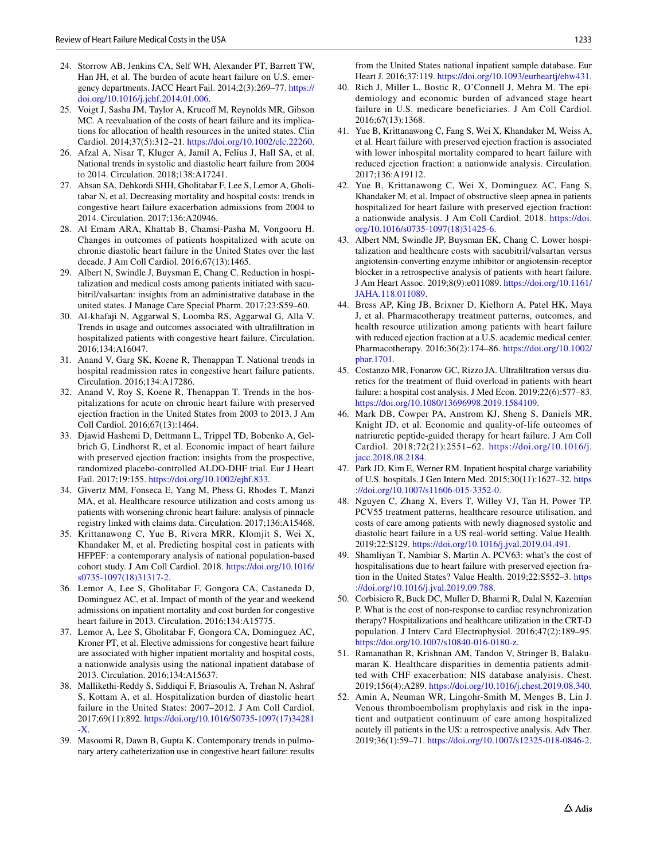- <span id="page-14-7"></span>24. Storrow AB, Jenkins CA, Self WH, Alexander PT, Barrett TW, Han JH, et al. The burden of acute heart failure on U.S. emergency departments. JACC Heart Fail. 2014;2(3):269–77. [https://](https://doi.org/10.1016/j.jchf.2014.01.006) [doi.org/10.1016/j.jchf.2014.01.006.](https://doi.org/10.1016/j.jchf.2014.01.006)
- <span id="page-14-10"></span>25. Voigt J, Sasha JM, Taylor A, Krucoff M, Reynolds MR, Gibson MC. A reevaluation of the costs of heart failure and its implications for allocation of health resources in the united states. Clin Cardiol. 2014;37(5):312–21. [https://doi.org/10.1002/clc.22260.](https://doi.org/10.1002/clc.22260)
- <span id="page-14-19"></span>26. Afzal A, Nisar T, Kluger A, Jamil A, Felius J, Hall SA, et al. National trends in systolic and diastolic heart failure from 2004 to 2014. Circulation. 2018;138:A17241.
- 27. Ahsan SA, Dehkordi SHH, Gholitabar F, Lee S, Lemor A, Gholitabar N, et al. Decreasing mortality and hospital costs: trends in congestive heart failure exacerbation admissions from 2004 to 2014. Circulation. 2017;136:A20946.
- <span id="page-14-14"></span>28. Al Emam ARA, Khattab B, Chamsi-Pasha M, Vongooru H. Changes in outcomes of patients hospitalized with acute on chronic diastolic heart failure in the United States over the last decade. J Am Coll Cardiol. 2016;67(13):1465.
- <span id="page-14-17"></span>29. Albert N, Swindle J, Buysman E, Chang C. Reduction in hospitalization and medical costs among patients initiated with sacubitril/valsartan: insights from an administrative database in the united states. J Manage Care Special Pharm. 2017;23:S59–60.
- <span id="page-14-18"></span>30. Al-khafaji N, Aggarwal S, Loomba RS, Aggarwal G, Alla V. Trends in usage and outcomes associated with ultrafltration in hospitalized patients with congestive heart failure. Circulation. 2016;134:A16047.
- 31. Anand V, Garg SK, Koene R, Thenappan T. National trends in hospital readmission rates in congestive heart failure patients. Circulation. 2016;134:A17286.
- 32. Anand V, Roy S, Koene R, Thenappan T. Trends in the hospitalizations for acute on chronic heart failure with preserved ejection fraction in the United States from 2003 to 2013. J Am Coll Cardiol. 2016;67(13):1464.
- <span id="page-14-5"></span>33. Djawid Hashemi D, Dettmann L, Trippel TD, Bobenko A, Gelbrich G, Lindhorst R, et al. Economic impact of heart failure with preserved ejection fraction: insights from the prospective, randomized placebo-controlled ALDO-DHF trial. Eur J Heart Fail. 2017;19:155. <https://doi.org/10.1002/ejhf.833>.
- <span id="page-14-16"></span>34. Givertz MM, Fonseca E, Yang M, Phess G, Rhodes T, Manzi MA, et al. Healthcare resource utilization and costs among us patients with worsening chronic heart failure: analysis of pinnacle registry linked with claims data. Circulation. 2017;136:A15468.
- 35. Krittanawong C, Yue B, Rivera MRR, Klomjit S, Wei X, Khandaker M, et al. Predicting hospital cost in patients with HFPEF: a contemporary analysis of national population-based cohort study. J Am Coll Cardiol. 2018. [https://doi.org/10.1016/](https://doi.org/10.1016/s0735-1097(18)31317-2) [s0735-1097\(18\)31317-2](https://doi.org/10.1016/s0735-1097(18)31317-2).
- 36. Lemor A, Lee S, Gholitabar F, Gongora CA, Castaneda D, Dominguez AC, et al. Impact of month of the year and weekend admissions on inpatient mortality and cost burden for congestive heart failure in 2013. Circulation. 2016;134:A15775.
- <span id="page-14-20"></span>37. Lemor A, Lee S, Gholitabar F, Gongora CA, Dominguez AC, Kroner PT, et al. Elective admissions for congestive heart failure are associated with higher inpatient mortality and hospital costs, a nationwide analysis using the national inpatient database of 2013. Circulation. 2016;134:A15637.
- 38. Mallikethi-Reddy S, Siddiqui F, Briasoulis A, Trehan N, Ashraf S, Kottam A, et al. Hospitalization burden of diastolic heart failure in the United States: 2007–2012. J Am Coll Cardiol. 2017;69(11):892. [https://doi.org/10.1016/S0735-1097\(17\)34281](https://doi.org/10.1016/S0735-1097(17)34281-X)  $-X$ .
- 39. Masoomi R, Dawn B, Gupta K. Contemporary trends in pulmonary artery catheterization use in congestive heart failure: results

from the United States national inpatient sample database. Eur Heart J. 2016;37:119.<https://doi.org/10.1093/eurheartj/ehw431>.

- 40. Rich J, Miller L, Bostic R, O'Connell J, Mehra M. The epidemiology and economic burden of advanced stage heart failure in U.S. medicare beneficiaries. J Am Coll Cardiol. 2016;67(13):1368.
- <span id="page-14-12"></span>41. Yue B, Krittanawong C, Fang S, Wei X, Khandaker M, Weiss A, et al. Heart failure with preserved ejection fraction is associated with lower inhospital mortality compared to heart failure with reduced ejection fraction: a nationwide analysis. Circulation. 2017;136:A19112.
- <span id="page-14-13"></span>42. Yue B, Krittanawong C, Wei X, Dominguez AC, Fang S, Khandaker M, et al. Impact of obstructive sleep apnea in patients hospitalized for heart failure with preserved ejection fraction: a nationwide analysis. J Am Coll Cardiol. 2018. [https://doi.](https://doi.org/10.1016/s0735-1097(18)31425-6) [org/10.1016/s0735-1097\(18\)31425-6](https://doi.org/10.1016/s0735-1097(18)31425-6).
- <span id="page-14-11"></span>43. Albert NM, Swindle JP, Buysman EK, Chang C. Lower hospitalization and healthcare costs with sacubitril/valsartan versus angiotensin-converting enzyme inhibitor or angiotensin-receptor blocker in a retrospective analysis of patients with heart failure. J Am Heart Assoc. 2019;8(9):e011089. [https://doi.org/10.1161/](https://doi.org/10.1161/JAHA.118.011089) [JAHA.118.011089](https://doi.org/10.1161/JAHA.118.011089).
- <span id="page-14-8"></span>44. Bress AP, King JB, Brixner D, Kielhorn A, Patel HK, Maya J, et al. Pharmacotherapy treatment patterns, outcomes, and health resource utilization among patients with heart failure with reduced ejection fraction at a U.S. academic medical center. Pharmacotherapy. 2016;36(2):174–86. [https://doi.org/10.1002/](https://doi.org/10.1002/phar.1701) [phar.1701.](https://doi.org/10.1002/phar.1701)
- <span id="page-14-3"></span>45. Costanzo MR, Fonarow GC, Rizzo JA. Ultrafltration versus diuretics for the treatment of fuid overload in patients with heart failure: a hospital cost analysis. J Med Econ. 2019;22(6):577–83. [https://doi.org/10.1080/13696998.2019.1584109.](https://doi.org/10.1080/13696998.2019.1584109)
- <span id="page-14-6"></span>46. Mark DB, Cowper PA, Anstrom KJ, Sheng S, Daniels MR, Knight JD, et al. Economic and quality-of-life outcomes of natriuretic peptide-guided therapy for heart failure. J Am Coll Cardiol. 2018;72(21):2551–62. [https://doi.org/10.1016/j.](https://doi.org/10.1016/j.jacc.2018.08.2184) [jacc.2018.08.2184.](https://doi.org/10.1016/j.jacc.2018.08.2184)
- <span id="page-14-9"></span>47. Park JD, Kim E, Werner RM. Inpatient hospital charge variability of U.S. hospitals. J Gen Intern Med. 2015;30(11):1627–32. [https](https://doi.org/10.1007/s11606-015-3352-0) [://doi.org/10.1007/s11606-015-3352-0.](https://doi.org/10.1007/s11606-015-3352-0)
- <span id="page-14-15"></span>48. Nguyen C, Zhang X, Evers T, Willey VJ, Tan H, Power TP. PCV55 treatment patterns, healthcare resource utilisation, and costs of care among patients with newly diagnosed systolic and diastolic heart failure in a US real-world setting. Value Health. 2019;22:S129. [https://doi.org/10.1016/j.jval.2019.04.491.](https://doi.org/10.1016/j.jval.2019.04.491)
- <span id="page-14-0"></span>49. Shamliyan T, Nambiar S, Martin A. PCV63: what's the cost of hospitalisations due to heart failure with preserved ejection fration in the United States? Value Health. 2019;22:S552–3. [https](https://doi.org/10.1016/j.jval.2019.09.788) [://doi.org/10.1016/j.jval.2019.09.788.](https://doi.org/10.1016/j.jval.2019.09.788)
- <span id="page-14-1"></span>50. Corbisiero R, Buck DC, Muller D, Bharmi R, Dalal N, Kazemian P. What is the cost of non-response to cardiac resynchronization therapy? Hospitalizations and healthcare utilization in the CRT-D population. J Interv Card Electrophysiol. 2016;47(2):189–95. <https://doi.org/10.1007/s10840-016-0180-z>.
- <span id="page-14-2"></span>51. Ramanathan R, Krishnan AM, Tandon V, Stringer B, Balakumaran K. Healthcare disparities in dementia patients admitted with CHF exacerbation: NIS database analyisis. Chest. 2019;156(4):A289.<https://doi.org/10.1016/j.chest.2019.08.340>.
- <span id="page-14-4"></span>52. Amin A, Neuman WR, Lingohr-Smith M, Menges B, Lin J. Venous thromboembolism prophylaxis and risk in the inpatient and outpatient continuum of care among hospitalized acutely ill patients in the US: a retrospective analysis. Adv Ther. 2019;36(1):59–71. [https://doi.org/10.1007/s12325-018-0846-2.](https://doi.org/10.1007/s12325-018-0846-2)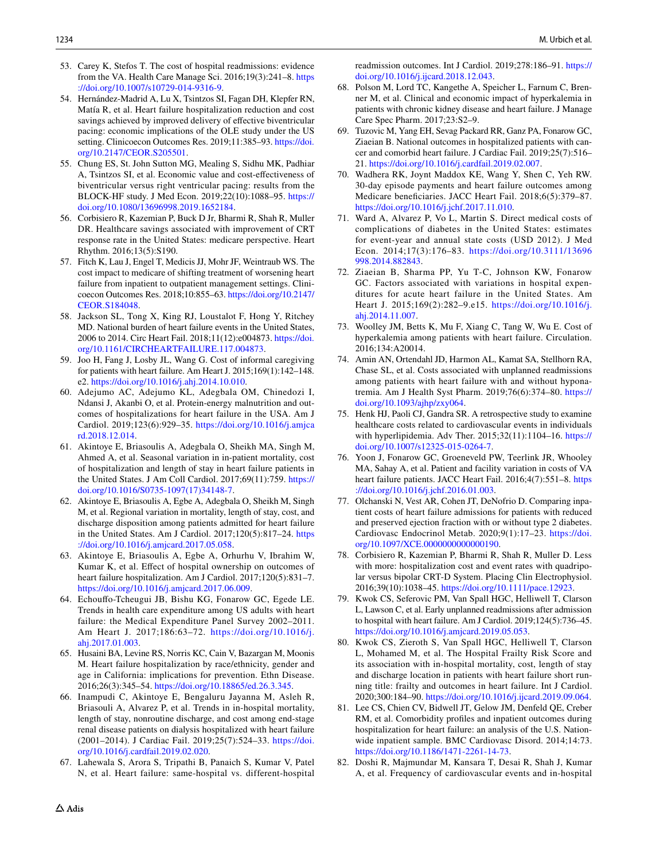- <span id="page-15-3"></span>53. Carey K, Stefos T. The cost of hospital readmissions: evidence from the VA. Health Care Manage Sci. 2016;19(3):241–8. [https](https://doi.org/10.1007/s10729-014-9316-9) [://doi.org/10.1007/s10729-014-9316-9.](https://doi.org/10.1007/s10729-014-9316-9)
- 54. Hernández-Madrid A, Lu X, Tsintzos SI, Fagan DH, Klepfer RN, Matía R, et al. Heart failure hospitalization reduction and cost savings achieved by improved delivery of effective biventricular pacing: economic implications of the OLE study under the US setting. Clinicoecon Outcomes Res. 2019;11:385–93. [https://doi.](https://doi.org/10.2147/CEOR.S205501) [org/10.2147/CEOR.S205501](https://doi.org/10.2147/CEOR.S205501).
- <span id="page-15-4"></span>55. Chung ES, St. John Sutton MG, Mealing S, Sidhu MK, Padhiar A, Tsintzos SI, et al. Economic value and cost-efectiveness of biventricular versus right ventricular pacing: results from the BLOCK-HF study. J Med Econ. 2019;22(10):1088–95. [https://](https://doi.org/10.1080/13696998.2019.1652184) [doi.org/10.1080/13696998.2019.1652184.](https://doi.org/10.1080/13696998.2019.1652184)
- <span id="page-15-0"></span>56. Corbisiero R, Kazemian P, Buck D Jr, Bharmi R, Shah R, Muller DR. Healthcare savings associated with improvement of CRT response rate in the United States: medicare perspective. Heart Rhythm. 2016;13(5):S190.
- <span id="page-15-1"></span>57. Fitch K, Lau J, Engel T, Medicis JJ, Mohr JF, Weintraub WS. The cost impact to medicare of shifting treatment of worsening heart failure from inpatient to outpatient management settings. Clinicoecon Outcomes Res. 2018;10:855–63. [https://doi.org/10.2147/](https://doi.org/10.2147/CEOR.S184048) [CEOR.S184048](https://doi.org/10.2147/CEOR.S184048).
- <span id="page-15-5"></span>58. Jackson SL, Tong X, King RJ, Loustalot F, Hong Y, Ritchey MD. National burden of heart failure events in the United States, 2006 to 2014. Circ Heart Fail. 2018;11(12):e004873. [https://doi.](https://doi.org/10.1161/CIRCHEARTFAILURE.117.004873) [org/10.1161/CIRCHEARTFAILURE.117.004873](https://doi.org/10.1161/CIRCHEARTFAILURE.117.004873).
- <span id="page-15-2"></span>59. Joo H, Fang J, Losby JL, Wang G. Cost of informal caregiving for patients with heart failure. Am Heart J. 2015;169(1):142–148. e2. <https://doi.org/10.1016/j.ahj.2014.10.010>.
- <span id="page-15-6"></span>60. Adejumo AC, Adejumo KL, Adegbala OM, Chinedozi I, Ndansi J, Akanbi O, et al. Protein-energy malnutrition and outcomes of hospitalizations for heart failure in the USA. Am J Cardiol. 2019;123(6):929–35. [https://doi.org/10.1016/j.amjca](https://doi.org/10.1016/j.amjcard.2018.12.014) [rd.2018.12.014.](https://doi.org/10.1016/j.amjcard.2018.12.014)
- 61. Akintoye E, Briasoulis A, Adegbala O, Sheikh MA, Singh M, Ahmed A, et al. Seasonal variation in in-patient mortality, cost of hospitalization and length of stay in heart failure patients in the United States. J Am Coll Cardiol. 2017;69(11):759. [https://](https://doi.org/10.1016/S0735-1097(17)34148-7) [doi.org/10.1016/S0735-1097\(17\)34148-7.](https://doi.org/10.1016/S0735-1097(17)34148-7)
- <span id="page-15-13"></span>62. Akintoye E, Briasoulis A, Egbe A, Adegbala O, Sheikh M, Singh M, et al. Regional variation in mortality, length of stay, cost, and discharge disposition among patients admitted for heart failure in the United States. Am J Cardiol. 2017;120(5):817–24. [https](https://doi.org/10.1016/j.amjcard.2017.05.058) [://doi.org/10.1016/j.amjcard.2017.05.058](https://doi.org/10.1016/j.amjcard.2017.05.058).
- <span id="page-15-14"></span>63. Akintoye E, Briasoulis A, Egbe A, Orhurhu V, Ibrahim W, Kumar K, et al. Efect of hospital ownership on outcomes of heart failure hospitalization. Am J Cardiol. 2017;120(5):831–7. <https://doi.org/10.1016/j.amjcard.2017.06.009>.
- <span id="page-15-7"></span>64. Echoufo-Tcheugui JB, Bishu KG, Fonarow GC, Egede LE. Trends in health care expenditure among US adults with heart failure: the Medical Expenditure Panel Survey 2002–2011. Am Heart J. 2017;186:63–72. [https://doi.org/10.1016/j.](https://doi.org/10.1016/j.ahj.2017.01.003) [ahj.2017.01.003](https://doi.org/10.1016/j.ahj.2017.01.003).
- <span id="page-15-8"></span>65. Husaini BA, Levine RS, Norris KC, Cain V, Bazargan M, Moonis M. Heart failure hospitalization by race/ethnicity, gender and age in California: implications for prevention. Ethn Disease. 2016;26(3):345–54. [https://doi.org/10.18865/ed.26.3.345.](https://doi.org/10.18865/ed.26.3.345)
- <span id="page-15-18"></span>66. Inampudi C, Akintoye E, Bengaluru Jayanna M, Asleh R, Briasouli A, Alvarez P, et al. Trends in in-hospital mortality, length of stay, nonroutine discharge, and cost among end-stage renal disease patients on dialysis hospitalized with heart failure (2001–2014). J Cardiac Fail. 2019;25(7):524–33. [https://doi.](https://doi.org/10.1016/j.cardfail.2019.02.020) [org/10.1016/j.cardfail.2019.02.020](https://doi.org/10.1016/j.cardfail.2019.02.020).
- <span id="page-15-15"></span>67. Lahewala S, Arora S, Tripathi B, Panaich S, Kumar V, Patel N, et al. Heart failure: same-hospital vs. different-hospital

readmission outcomes. Int J Cardiol. 2019;278:186–91. [https://](https://doi.org/10.1016/j.ijcard.2018.12.043) [doi.org/10.1016/j.ijcard.2018.12.043.](https://doi.org/10.1016/j.ijcard.2018.12.043)

- <span id="page-15-19"></span>68. Polson M, Lord TC, Kangethe A, Speicher L, Farnum C, Brenner M, et al. Clinical and economic impact of hyperkalemia in patients with chronic kidney disease and heart failure. J Manage Care Spec Pharm. 2017;23:S2–9.
- <span id="page-15-17"></span>69. Tuzovic M, Yang EH, Sevag Packard RR, Ganz PA, Fonarow GC, Ziaeian B. National outcomes in hospitalized patients with cancer and comorbid heart failure. J Cardiac Fail. 2019;25(7):516– 21.<https://doi.org/10.1016/j.cardfail.2019.02.007>.
- <span id="page-15-21"></span>70. Wadhera RK, Joynt Maddox KE, Wang Y, Shen C, Yeh RW. 30-day episode payments and heart failure outcomes among Medicare benefciaries. JACC Heart Fail. 2018;6(5):379–87. [https://doi.org/10.1016/j.jchf.2017.11.010.](https://doi.org/10.1016/j.jchf.2017.11.010)
- <span id="page-15-9"></span>71. Ward A, Alvarez P, Vo L, Martin S. Direct medical costs of complications of diabetes in the United States: estimates for event-year and annual state costs (USD 2012). J Med Econ. 2014;17(3):176–83. [https://doi.org/10.3111/13696](https://doi.org/10.3111/13696998.2014.882843) [998.2014.882843.](https://doi.org/10.3111/13696998.2014.882843)
- <span id="page-15-24"></span>72. Ziaeian B, Sharma PP, Yu T-C, Johnson KW, Fonarow GC. Factors associated with variations in hospital expenditures for acute heart failure in the United States. Am Heart J. 2015;169(2):282–9.e15. [https://doi.org/10.1016/j.](https://doi.org/10.1016/j.ahj.2014.11.007) [ahj.2014.11.007](https://doi.org/10.1016/j.ahj.2014.11.007).
- <span id="page-15-12"></span>73. Woolley JM, Betts K, Mu F, Xiang C, Tang W, Wu E. Cost of hyperkalemia among patients with heart failure. Circulation. 2016;134:A20014.
- <span id="page-15-10"></span>74. Amin AN, Ortendahl JD, Harmon AL, Kamat SA, Stellhorn RA, Chase SL, et al. Costs associated with unplanned readmissions among patients with heart failure with and without hyponatremia. Am J Health Syst Pharm. 2019;76(6):374–80. [https://](https://doi.org/10.1093/ajhp/zxy064) [doi.org/10.1093/ajhp/zxy064](https://doi.org/10.1093/ajhp/zxy064).
- <span id="page-15-20"></span>75. Henk HJ, Paoli CJ, Gandra SR. A retrospective study to examine healthcare costs related to cardiovascular events in individuals with hyperlipidemia. Adv Ther. 2015;32(11):1104–16. [https://](https://doi.org/10.1007/s12325-015-0264-7) [doi.org/10.1007/s12325-015-0264-7.](https://doi.org/10.1007/s12325-015-0264-7)
- <span id="page-15-11"></span>76. Yoon J, Fonarow GC, Groeneveld PW, Teerlink JR, Whooley MA, Sahay A, et al. Patient and facility variation in costs of VA heart failure patients. JACC Heart Fail. 2016;4(7):551–8. [https](https://doi.org/10.1016/j.jchf.2016.01.003) [://doi.org/10.1016/j.jchf.2016.01.003](https://doi.org/10.1016/j.jchf.2016.01.003).
- <span id="page-15-16"></span>77. Olchanski N, Vest AR, Cohen JT, DeNofrio D. Comparing inpatient costs of heart failure admissions for patients with reduced and preserved ejection fraction with or without type 2 diabetes. Cardiovasc Endocrinol Metab. 2020;9(1):17–23. [https://doi.](https://doi.org/10.1097/XCE.0000000000000190) [org/10.1097/XCE.0000000000000190](https://doi.org/10.1097/XCE.0000000000000190).
- <span id="page-15-22"></span>78. Corbisiero R, Kazemian P, Bharmi R, Shah R, Muller D. Less with more: hospitalization cost and event rates with quadripolar versus bipolar CRT-D System. Placing Clin Electrophysiol. 2016;39(10):1038–45. <https://doi.org/10.1111/pace.12923>.
- <span id="page-15-25"></span>79. Kwok CS, Seferovic PM, Van Spall HGC, Helliwell T, Clarson L, Lawson C, et al. Early unplanned readmissions after admission to hospital with heart failure. Am J Cardiol. 2019;124(5):736–45. <https://doi.org/10.1016/j.amjcard.2019.05.053>.
- <span id="page-15-26"></span>80. Kwok CS, Zieroth S, Van Spall HGC, Helliwell T, Clarson L, Mohamed M, et al. The Hospital Frailty Risk Score and its association with in-hospital mortality, cost, length of stay and discharge location in patients with heart failure short running title: frailty and outcomes in heart failure. Int J Cardiol. 2020;300:184–90. [https://doi.org/10.1016/j.ijcard.2019.09.064.](https://doi.org/10.1016/j.ijcard.2019.09.064)
- <span id="page-15-27"></span>81. Lee CS, Chien CV, Bidwell JT, Gelow JM, Denfeld QE, Creber RM, et al. Comorbidity profles and inpatient outcomes during hospitalization for heart failure: an analysis of the U.S. Nationwide inpatient sample. BMC Cardiovasc Disord. 2014;14:73. [https://doi.org/10.1186/1471-2261-14-73.](https://doi.org/10.1186/1471-2261-14-73)
- <span id="page-15-23"></span>82. Doshi R, Majmundar M, Kansara T, Desai R, Shah J, Kumar A, et al. Frequency of cardiovascular events and in-hospital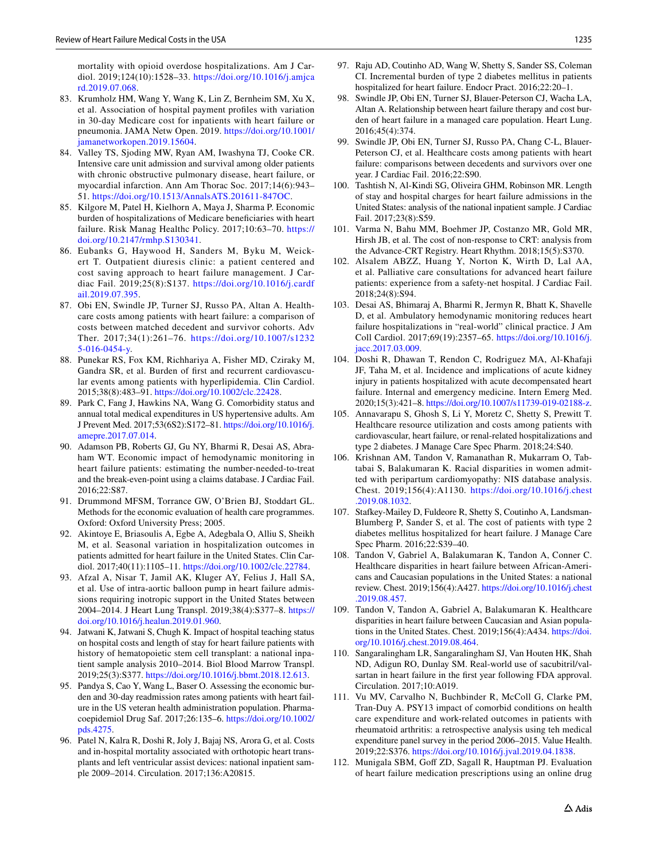mortality with opioid overdose hospitalizations. Am J Cardiol. 2019;124(10):1528–33. [https://doi.org/10.1016/j.amjca](https://doi.org/10.1016/j.amjcard.2019.07.068) [rd.2019.07.068](https://doi.org/10.1016/j.amjcard.2019.07.068).

- <span id="page-16-16"></span>83. Krumholz HM, Wang Y, Wang K, Lin Z, Bernheim SM, Xu X, et al. Association of hospital payment profles with variation in 30-day Medicare cost for inpatients with heart failure or pneumonia. JAMA Netw Open. 2019. [https://doi.org/10.1001/](https://doi.org/10.1001/jamanetworkopen.2019.15604) [jamanetworkopen.2019.15604.](https://doi.org/10.1001/jamanetworkopen.2019.15604)
- <span id="page-16-15"></span>84. Valley TS, Sjoding MW, Ryan AM, Iwashyna TJ, Cooke CR. Intensive care unit admission and survival among older patients with chronic obstructive pulmonary disease, heart failure, or myocardial infarction. Ann Am Thorac Soc. 2017;14(6):943– 51. <https://doi.org/10.1513/AnnalsATS.201611-847OC>.
- <span id="page-16-8"></span>85. Kilgore M, Patel H, Kielhorn A, Maya J, Sharma P. Economic burden of hospitalizations of Medicare benefciaries with heart failure. Risk Manag Healthc Policy. 2017;10:63–70. [https://](https://doi.org/10.2147/rmhp.S130341) [doi.org/10.2147/rmhp.S130341](https://doi.org/10.2147/rmhp.S130341).
- <span id="page-16-0"></span>86. Eubanks G, Haywood H, Sanders M, Byku M, Weickert T. Outpatient diuresis clinic: a patient centered and cost saving approach to heart failure management. J Cardiac Fail. 2019;25(8):S137. [https://doi.org/10.1016/j.cardf](https://doi.org/10.1016/j.cardfail.2019.07.395) [ail.2019.07.395](https://doi.org/10.1016/j.cardfail.2019.07.395).
- <span id="page-16-1"></span>87. Obi EN, Swindle JP, Turner SJ, Russo PA, Altan A. Healthcare costs among patients with heart failure: a comparison of costs between matched decedent and survivor cohorts. Adv Ther. 2017;34(1):261–76. [https://doi.org/10.1007/s1232](https://doi.org/10.1007/s12325-016-0454-y) [5-016-0454-y.](https://doi.org/10.1007/s12325-016-0454-y)
- <span id="page-16-7"></span>88. Punekar RS, Fox KM, Richhariya A, Fisher MD, Cziraky M, Gandra SR, et al. Burden of frst and recurrent cardiovascular events among patients with hyperlipidemia. Clin Cardiol. 2015;38(8):483–91. [https://doi.org/10.1002/clc.22428.](https://doi.org/10.1002/clc.22428)
- <span id="page-16-2"></span>89. Park C, Fang J, Hawkins NA, Wang G. Comorbidity status and annual total medical expenditures in US hypertensive adults. Am J Prevent Med. 2017;53(6S2):S172–81. [https://doi.org/10.1016/j.](https://doi.org/10.1016/j.amepre.2017.07.014) [amepre.2017.07.014.](https://doi.org/10.1016/j.amepre.2017.07.014)
- <span id="page-16-3"></span>90. Adamson PB, Roberts GJ, Gu NY, Bharmi R, Desai AS, Abraham WT. Economic impact of hemodynamic monitoring in heart failure patients: estimating the number-needed-to-treat and the break-even-point using a claims database. J Cardiac Fail. 2016;22:S87.
- <span id="page-16-4"></span>91. Drummond MFSM, Torrance GW, O'Brien BJ, Stoddart GL. Methods for the economic evaluation of health care programmes. Oxford: Oxford University Press; 2005.
- <span id="page-16-5"></span>92. Akintoye E, Briasoulis A, Egbe A, Adegbala O, Alliu S, Sheikh M, et al. Seasonal variation in hospitalization outcomes in patients admitted for heart failure in the United States. Clin Cardiol. 2017;40(11):1105–11.<https://doi.org/10.1002/clc.22784>.
- <span id="page-16-23"></span>93. Afzal A, Nisar T, Jamil AK, Kluger AY, Felius J, Hall SA, et al. Use of intra-aortic balloon pump in heart failure admissions requiring inotropic support in the United States between 2004–2014. J Heart Lung Transpl. 2019;38(4):S377–8. [https://](https://doi.org/10.1016/j.healun.2019.01.960) [doi.org/10.1016/j.healun.2019.01.960](https://doi.org/10.1016/j.healun.2019.01.960).
- <span id="page-16-6"></span>94. Jatwani K, Jatwani S, Chugh K. Impact of hospital teaching status on hospital costs and length of stay for heart failure patients with history of hematopoietic stem cell transplant: a national inpatient sample analysis 2010–2014. Biol Blood Marrow Transpl. 2019;25(3):S377. [https://doi.org/10.1016/j.bbmt.2018.12.613.](https://doi.org/10.1016/j.bbmt.2018.12.613)
- <span id="page-16-9"></span>95. Pandya S, Cao Y, Wang L, Baser O. Assessing the economic burden and 30-day readmission rates among patients with heart failure in the US veteran health administration population. Pharmacoepidemiol Drug Saf. 2017;26:135–6. [https://doi.org/10.1002/](https://doi.org/10.1002/pds.4275) [pds.4275.](https://doi.org/10.1002/pds.4275)
- <span id="page-16-24"></span>96. Patel N, Kalra R, Doshi R, Joly J, Bajaj NS, Arora G, et al. Costs and in-hospital mortality associated with orthotopic heart transplants and left ventricular assist devices: national inpatient sample 2009–2014. Circulation. 2017;136:A20815.
- <span id="page-16-17"></span>97. Raju AD, Coutinho AD, Wang W, Shetty S, Sander SS, Coleman CI. Incremental burden of type 2 diabetes mellitus in patients hospitalized for heart failure. Endocr Pract. 2016;22:20–1.
- <span id="page-16-20"></span>98. Swindle JP, Obi EN, Turner SJ, Blauer-Peterson CJ, Wacha LA, Altan A. Relationship between heart failure therapy and cost burden of heart failure in a managed care population. Heart Lung. 2016;45(4):374.
- <span id="page-16-21"></span>99. Swindle JP, Obi EN, Turner SJ, Russo PA, Chang C-L, Blauer-Peterson CJ, et al. Healthcare costs among patients with heart failure: comparisons between decedents and survivors over one year. J Cardiac Fail. 2016;22:S90.
- 100. Tashtish N, Al-Kindi SG, Oliveira GHM, Robinson MR. Length of stay and hospital charges for heart failure admissions in the United States: analysis of the national inpatient sample. J Cardiac Fail. 2017;23(8):S59.
- 101. Varma N, Bahu MM, Boehmer JP, Costanzo MR, Gold MR, Hirsh JB, et al. The cost of non-response to CRT: analysis from the Advance-CRT Registry. Heart Rhythm. 2018;15(5):S370.
- <span id="page-16-19"></span>102. Alsalem ABZZ, Huang Y, Norton K, Wirth D, Lal AA, et al. Palliative care consultations for advanced heart failure patients: experience from a safety-net hospital. J Cardiac Fail. 2018;24(8):S94.
- <span id="page-16-14"></span>103. Desai AS, Bhimaraj A, Bharmi R, Jermyn R, Bhatt K, Shavelle D, et al. Ambulatory hemodynamic monitoring reduces heart failure hospitalizations in "real-world" clinical practice. J Am Coll Cardiol. 2017;69(19):2357–65. [https://doi.org/10.1016/j.](https://doi.org/10.1016/j.jacc.2017.03.009) [jacc.2017.03.009.](https://doi.org/10.1016/j.jacc.2017.03.009)
- <span id="page-16-10"></span>104. Doshi R, Dhawan T, Rendon C, Rodriguez MA, Al-Khafaji JF, Taha M, et al. Incidence and implications of acute kidney injury in patients hospitalized with acute decompensated heart failure. Internal and emergency medicine. Intern Emerg Med. 2020;15(3):421–8.<https://doi.org/10.1007/s11739-019-02188-z>.
- <span id="page-16-11"></span>105. Annavarapu S, Ghosh S, Li Y, Moretz C, Shetty S, Prewitt T. Healthcare resource utilization and costs among patients with cardiovascular, heart failure, or renal-related hospitalizations and type 2 diabetes. J Manage Care Spec Pharm. 2018;24:S40.
- <span id="page-16-25"></span>106. Krishnan AM, Tandon V, Ramanathan R, Mukarram O, Tabtabai S, Balakumaran K. Racial disparities in women admitted with peripartum cardiomyopathy: NIS database analysis. Chest. 2019;156(4):A1130. [https://doi.org/10.1016/j.chest](https://doi.org/10.1016/j.chest.2019.08.1032) [.2019.08.1032](https://doi.org/10.1016/j.chest.2019.08.1032).
- <span id="page-16-12"></span>107. Stafkey-Mailey D, Fuldeore R, Shetty S, Coutinho A, Landsman-Blumberg P, Sander S, et al. The cost of patients with type 2 diabetes mellitus hospitalized for heart failure. J Manage Care Spec Pharm. 2016;22:S39–40.
- <span id="page-16-26"></span>108. Tandon V, Gabriel A, Balakumaran K, Tandon A, Conner C. Healthcare disparities in heart failure between African-Americans and Caucasian populations in the United States: a national review. Chest. 2019;156(4):A427. [https://doi.org/10.1016/j.chest](https://doi.org/10.1016/j.chest.2019.08.457) [.2019.08.457.](https://doi.org/10.1016/j.chest.2019.08.457)
- <span id="page-16-27"></span>109. Tandon V, Tandon A, Gabriel A, Balakumaran K. Healthcare disparities in heart failure between Caucasian and Asian populations in the United States. Chest. 2019;156(4):A434. [https://doi.](https://doi.org/10.1016/j.chest.2019.08.464) [org/10.1016/j.chest.2019.08.464.](https://doi.org/10.1016/j.chest.2019.08.464)
- <span id="page-16-22"></span>110. Sangaralingham LR, Sangaralingham SJ, Van Houten HK, Shah ND, Adigun RO, Dunlay SM. Real-world use of sacubitril/valsartan in heart failure in the frst year following FDA approval. Circulation. 2017;10:A019.
- <span id="page-16-13"></span>111. Vu MV, Carvalho N, Buchbinder R, McColl G, Clarke PM, Tran-Duy A. PSY13 impact of comorbid conditions on health care expenditure and work-related outcomes in patients with rheumatoid arthritis: a retrospective analysis using teh medical expenditure panel survey in the period 2006–2015. Value Health. 2019;22:S376.<https://doi.org/10.1016/j.jval.2019.04.1838>.
- <span id="page-16-18"></span>112. Munigala SBM, Gof ZD, Sagall R, Hauptman PJ. Evaluation of heart failure medication prescriptions using an online drug